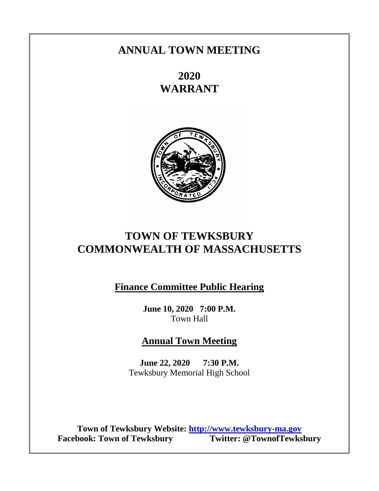# **ANNUAL TOWN MEETING**

**2020 WARRANT**



# **TOWN OF TEWKSBURY COMMONWEALTH OF MASSACHUSETTS**

**Finance Committee Public Hearing**

**June 10, 2020 7:00 P.M.** Town Hall

**Annual Town Meeting**

**June 22, 2020 7:30 P.M.** Tewksbury Memorial High School

**Town of Tewksbury Website: [http://www.tewksbury-ma.gov](http://www.tewksbury-ma.gov/) Facebook: Town of Tewksbury**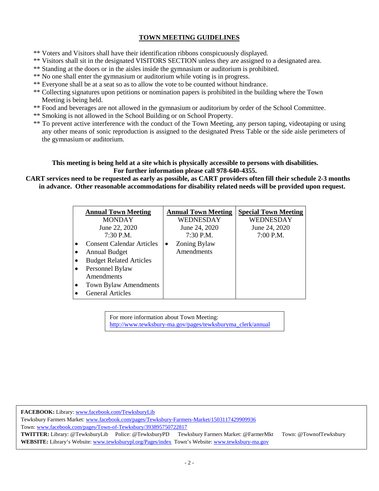# **TOWN MEETING GUIDELINES**

- \*\* Voters and Visitors shall have their identification ribbons conspicuously displayed.
- \*\* Visitors shall sit in the designated VISITORS SECTION unless they are assigned to a designated area.
- \*\* Standing at the doors or in the aisles inside the gymnasium or auditorium is prohibited.
- \*\* No one shall enter the gymnasium or auditorium while voting is in progress.
- \*\* Everyone shall be at a seat so as to allow the vote to be counted without hindrance.
- \*\* Collecting signatures upon petitions or nomination papers is prohibited in the building where the Town Meeting is being held.
- \*\* Food and beverages are not allowed in the gymnasium or auditorium by order of the School Committee.
- \*\* Smoking is not allowed in the School Building or on School Property.
- \*\* To prevent active interference with the conduct of the Town Meeting, any person taping, videotaping or using any other means of sonic reproduction is assigned to the designated Press Table or the side aisle perimeters of the gymnasium or auditorium.

# **This meeting is being held at a site which is physically accessible to persons with disabilities. For further information please call 978-640-4355.**

# **CART services need to be requested as early as possible, as CART providers often fill their schedule 2-3 months in advance. Other reasonable accommodations for disability related needs will be provided upon request.**

|           | <b>Annual Town Meeting</b>       | <b>Annual Town Meeting</b> | <b>Special Town Meeting</b> |
|-----------|----------------------------------|----------------------------|-----------------------------|
|           | <b>MONDAY</b>                    | WEDNESDAY                  | WEDNESDAY                   |
|           | June 22, 2020                    | June 24, 2020              | June 24, 2020               |
|           | $7:30$ P.M.                      | $7:30$ P.M.                | 7:00 P.M.                   |
|           | <b>Consent Calendar Articles</b> | Zoning Bylaw<br>٠          |                             |
|           | <b>Annual Budget</b>             | Amendments                 |                             |
| $\bullet$ | <b>Budget Related Articles</b>   |                            |                             |
| $\bullet$ | Personnel Bylaw                  |                            |                             |
|           | Amendments                       |                            |                             |
| $\bullet$ | Town Bylaw Amendments            |                            |                             |
|           | <b>General Articles</b>          |                            |                             |

For more information about Town Meeting: [http://www.tewksbury-ma.gov/pages/tewksburyma\\_clerk/annual](http://www.tewksbury-ma.gov/Pages/TewksburyMA_Clerk/annual)

**FACEBOOK:** Library: [www.facebook.com/TewksburyLib](http://www.facebook.com/TewksburyLib)

Tewksbury Farmers Market: [www.facebook.com/pages/Tewksbury-Farmers-Market/1503117429909936](http://www.facebook.com/pages/Tewksbury-Farmers-Market/1503117429909936) Town[: www.facebook.com/pages/Town-of-Tewksbury/393895750722817](http://www.facebook.com/pages/Town-of-Tewksbury/393895750722817)

**TWITTER:** Library: @TewksburyLib Police: @TewksburyPDTewksbury Farmers Market: @FarmerMkt Town: @TownofTewksbury **WEBSITE:** Library's Website[: www.tewksburypl.org/Pages/index](http://www.tewksburypl.org/Pages/index) Town's Website: www.tewksbury-ma.gov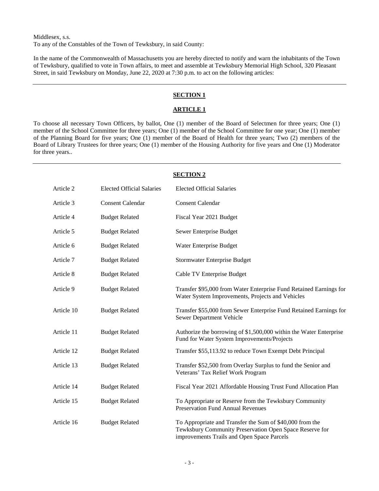Middlesex, s.s. To any of the Constables of the Town of Tewksbury, in said County:

In the name of the Commonwealth of Massachusetts you are hereby directed to notify and warn the inhabitants of the Town of Tewksbury, qualified to vote in Town affairs, to meet and assemble at Tewksbury Memorial High School, 320 Pleasant Street, in said Tewksbury on Monday, June 22, 2020 at 7:30 p.m. to act on the following articles:

# **SECTION 1**

# **ARTICLE 1**

To choose all necessary Town Officers, by ballot, One (1) member of the Board of Selectmen for three years; One (1) member of the School Committee for three years; One (1) member of the School Committee for one year; One (1) member of the Planning Board for five years; One (1) member of the Board of Health for three years; Two (2) members of the Board of Library Trustees for three years; One (1) member of the Housing Authority for five years and One (1) Moderator for three years..

|            |                                  | <b>SECTION 2</b>                                                                                                                                                  |
|------------|----------------------------------|-------------------------------------------------------------------------------------------------------------------------------------------------------------------|
| Article 2  | <b>Elected Official Salaries</b> | <b>Elected Official Salaries</b>                                                                                                                                  |
| Article 3  | <b>Consent Calendar</b>          | <b>Consent Calendar</b>                                                                                                                                           |
| Article 4  | <b>Budget Related</b>            | Fiscal Year 2021 Budget                                                                                                                                           |
| Article 5  | <b>Budget Related</b>            | Sewer Enterprise Budget                                                                                                                                           |
| Article 6  | <b>Budget Related</b>            | Water Enterprise Budget                                                                                                                                           |
| Article 7  | <b>Budget Related</b>            | Stormwater Enterprise Budget                                                                                                                                      |
| Article 8  | <b>Budget Related</b>            | Cable TV Enterprise Budget                                                                                                                                        |
| Article 9  | <b>Budget Related</b>            | Transfer \$95,000 from Water Enterprise Fund Retained Earnings for<br>Water System Improvements, Projects and Vehicles                                            |
| Article 10 | <b>Budget Related</b>            | Transfer \$55,000 from Sewer Enterprise Fund Retained Earnings for<br>Sewer Department Vehicle                                                                    |
| Article 11 | <b>Budget Related</b>            | Authorize the borrowing of \$1,500,000 within the Water Enterprise<br>Fund for Water System Improvements/Projects                                                 |
| Article 12 | <b>Budget Related</b>            | Transfer \$55,113.92 to reduce Town Exempt Debt Principal                                                                                                         |
| Article 13 | <b>Budget Related</b>            | Transfer \$52,500 from Overlay Surplus to fund the Senior and<br>Veterans' Tax Relief Work Program                                                                |
| Article 14 | <b>Budget Related</b>            | Fiscal Year 2021 Affordable Housing Trust Fund Allocation Plan                                                                                                    |
| Article 15 | <b>Budget Related</b>            | To Appropriate or Reserve from the Tewksbury Community<br><b>Preservation Fund Annual Revenues</b>                                                                |
| Article 16 | <b>Budget Related</b>            | To Appropriate and Transfer the Sum of \$40,000 from the<br>Tewksbury Community Preservation Open Space Reserve for<br>improvements Trails and Open Space Parcels |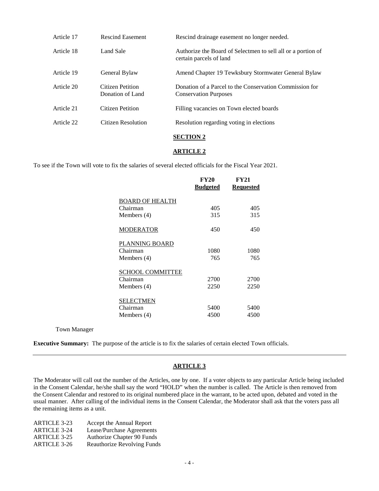| Article 17 | <b>Rescind Easement</b>              | Rescind drainage easement no longer needed.                                             |
|------------|--------------------------------------|-----------------------------------------------------------------------------------------|
| Article 18 | Land Sale                            | Authorize the Board of Selectmen to sell all or a portion of<br>certain parcels of land |
| Article 19 | General Bylaw                        | Amend Chapter 19 Tewksbury Stormwater General Bylaw                                     |
| Article 20 | Citizen Petition<br>Donation of Land | Donation of a Parcel to the Conservation Commission for<br><b>Conservation Purposes</b> |
| Article 21 | Citizen Petition                     | Filling vacancies on Town elected boards                                                |
| Article 22 | Citizen Resolution                   | Resolution regarding voting in elections                                                |
|            |                                      |                                                                                         |

#### **SECTION 2**

#### **ARTICLE 2**

To see if the Town will vote to fix the salaries of several elected officials for the Fiscal Year 2021.

|                         | <b>FY20</b>     | <b>FY21</b> |
|-------------------------|-----------------|-------------|
|                         | <b>Budgeted</b> | Requested   |
| BOARD OF HEALTH         |                 |             |
| Chairman                | 405             | 405         |
| Members $(4)$           | 315             | 315         |
| MODERATOR               | 450             | 450         |
| PLANNING BOARD          |                 |             |
| Chairman                | 1080            | 1080        |
| Members (4)             | 765             | 765         |
| <b>SCHOOL COMMITTEE</b> |                 |             |
| Chairman                | 2700            | 2700        |
| Members $(4)$           | 2250            | 2250        |
| <u>SELECTMEN</u>        |                 |             |
| Chairman                | 5400            | 5400        |
| Members (4)             | 4500            | 4500        |

Town Manager

**Executive Summary:** The purpose of the article is to fix the salaries of certain elected Town officials.

# **ARTICLE 3**

The Moderator will call out the number of the Articles, one by one. If a voter objects to any particular Article being included in the Consent Calendar, he/she shall say the word "HOLD" when the number is called. The Article is then removed from the Consent Calendar and restored to its original numbered place in the warrant, to be acted upon, debated and voted in the usual manner. After calling of the individual items in the Consent Calendar, the Moderator shall ask that the voters pass all the remaining items as a unit.

| <b>ARTICLE 3-23</b> | Accept the Annual Report           |
|---------------------|------------------------------------|
| <b>ARTICLE 3-24</b> | Lease/Purchase Agreements          |
| <b>ARTICLE 3-25</b> | Authorize Chapter 90 Funds         |
| <b>ARTICLE 3-26</b> | <b>Reauthorize Revolving Funds</b> |
|                     |                                    |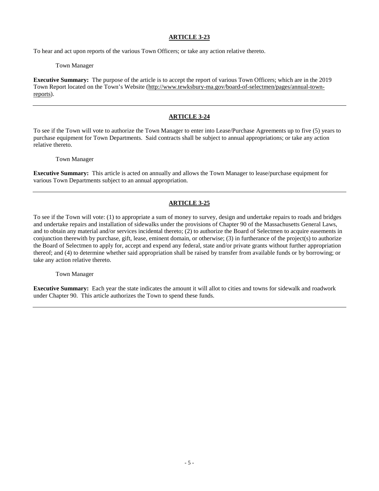# **ARTICLE 3-23**

To hear and act upon reports of the various Town Officers; or take any action relative thereto.

#### Town Manager

**Executive Summary:** The purpose of the article is to accept the report of various Town Officers; which are in the 2019 Town Report located on the Town's Website (http://www.tewksbury-ma.gov/board-of-selectmen/pages/annual-townreports).

# **ARTICLE 3-24**

To see if the Town will vote to authorize the Town Manager to enter into Lease/Purchase Agreements up to five (5) years to purchase equipment for Town Departments. Said contracts shall be subject to annual appropriations; or take any action relative thereto.

Town Manager

**Executive Summary:** This article is acted on annually and allows the Town Manager to lease/purchase equipment for various Town Departments subject to an annual appropriation.

# **ARTICLE 3-25**

To see if the Town will vote: (1) to appropriate a sum of money to survey, design and undertake repairs to roads and bridges and undertake repairs and installation of sidewalks under the provisions of Chapter 90 of the Massachusetts General Laws, and to obtain any material and/or services incidental thereto; (2) to authorize the Board of Selectmen to acquire easements in conjunction therewith by purchase, gift, lease, eminent domain, or otherwise; (3) in furtherance of the project(s) to authorize the Board of Selectmen to apply for, accept and expend any federal, state and/or private grants without further appropriation thereof; and (4) to determine whether said appropriation shall be raised by transfer from available funds or by borrowing; or take any action relative thereto.

Town Manager

**Executive Summary:** Each year the state indicates the amount it will allot to cities and towns for sidewalk and roadwork under Chapter 90. This article authorizes the Town to spend these funds.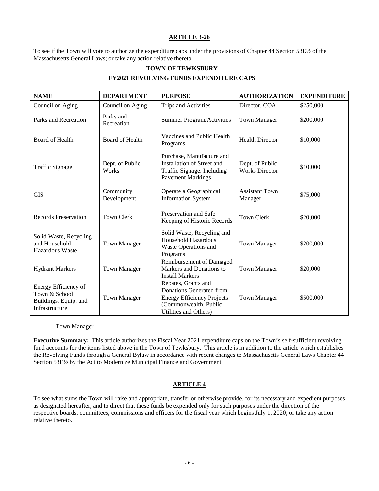## **ARTICLE 3-26**

To see if the Town will vote to authorize the expenditure caps under the provisions of Chapter 44 Section 53E½ of the Massachusetts General Laws; or take any action relative thereto.

# **TOWN OF TEWKSBURY**

#### **FY2021 REVOLVING FUNDS EXPENDITURE CAPS**

| <b>NAME</b>                                                                      | <b>DEPARTMENT</b>        | <b>PURPOSE</b>                                                                                                                         | <b>AUTHORIZATION</b>                     | <b>EXPENDITURE</b> |
|----------------------------------------------------------------------------------|--------------------------|----------------------------------------------------------------------------------------------------------------------------------------|------------------------------------------|--------------------|
| Council on Aging                                                                 | Council on Aging         | Trips and Activities                                                                                                                   | Director, COA                            | \$250,000          |
| Parks and Recreation                                                             | Parks and<br>Recreation  | <b>Summer Program/Activities</b>                                                                                                       | <b>Town Manager</b>                      | \$200,000          |
| <b>Board of Health</b>                                                           | Board of Health          | Vaccines and Public Health<br>Programs                                                                                                 | <b>Health Director</b>                   | \$10,000           |
| <b>Traffic Signage</b>                                                           | Dept. of Public<br>Works | Purchase, Manufacture and<br>Installation of Street and<br>Traffic Signage, Including<br><b>Pavement Markings</b>                      | Dept. of Public<br><b>Works Director</b> | \$10,000           |
| <b>GIS</b>                                                                       | Community<br>Development | Operate a Geographical<br><b>Assistant Town</b><br><b>Information System</b><br>Manager                                                |                                          | \$75,000           |
| <b>Records Preservation</b><br><b>Town Clerk</b>                                 |                          | Preservation and Safe<br><b>Town Clerk</b><br>Keeping of Historic Records                                                              |                                          | \$20,000           |
| Solid Waste, Recycling<br>and Household<br>Hazardous Waste                       | <b>Town Manager</b>      | Solid Waste, Recycling and<br>Household Hazardous<br><b>Town Manager</b><br>Waste Operations and<br>Programs                           |                                          | \$200,000          |
| <b>Hydrant Markers</b>                                                           | <b>Town Manager</b>      | Reimbursement of Damaged<br>Markers and Donations to<br><b>Install Markers</b>                                                         | <b>Town Manager</b>                      | \$20,000           |
| Energy Efficiency of<br>Town & School<br>Buildings, Equip. and<br>Infrastructure | <b>Town Manager</b>      | Rebates, Grants and<br>Donations Generated from<br><b>Energy Efficiency Projects</b><br>(Commonwealth, Public<br>Utilities and Others) | <b>Town Manager</b>                      | \$500,000          |

Town Manager

**Executive Summary:** This article authorizes the Fiscal Year 2021 expenditure caps on the Town's self-sufficient revolving fund accounts for the items listed above in the Town of Tewksbury. This article is in addition to the article which establishes the Revolving Funds through a General Bylaw in accordance with recent changes to Massachusetts General Laws Chapter 44 Section 53E½ by the Act to Modernize Municipal Finance and Government.

# **ARTICLE 4**

To see what sums the Town will raise and appropriate, transfer or otherwise provide, for its necessary and expedient purposes as designated hereafter, and to direct that these funds be expended only for such purposes under the direction of the respective boards, committees, commissions and officers for the fiscal year which begins July 1, 2020; or take any action relative thereto.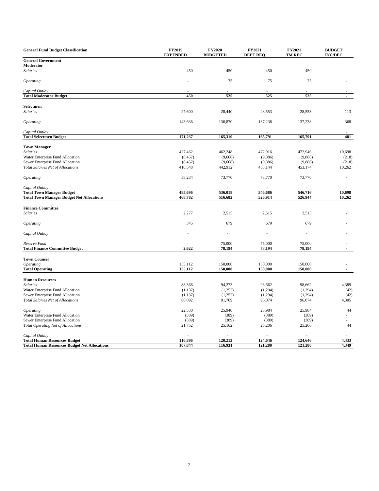| <b>General Fund Budget Classification</b>           | FY2019<br><b>EXPENDED</b> | <b>FY2020</b><br><b>BUDGETED</b> | FY2021<br><b>DEPT REQ</b> | FY2021<br><b>TM REC</b> | <b>BUDGET</b><br><b>INC/DEC</b> |
|-----------------------------------------------------|---------------------------|----------------------------------|---------------------------|-------------------------|---------------------------------|
| <b>General Government</b>                           |                           |                                  |                           |                         |                                 |
| Moderator                                           |                           |                                  |                           |                         |                                 |
| <b>Salaries</b>                                     | 450                       | 450                              | 450                       | 450                     |                                 |
| Operating                                           |                           | 75                               | 75                        | 75                      |                                 |
| Capital Outlay                                      |                           |                                  |                           |                         |                                 |
| <b>Total Moderator Budget</b>                       | 450                       | 525                              | 525                       | 525                     | $\overline{\phantom{a}}$        |
|                                                     |                           |                                  |                           |                         |                                 |
| Selectmen                                           |                           |                                  |                           |                         |                                 |
| <b>Salaries</b>                                     | 27,600                    | 28,440                           | 28,553                    | 28,553                  | 113                             |
| <i><b>Operating</b></i>                             | 143,636                   | 136,870                          | 137,238                   | 137,238                 | 368                             |
| Capital Outlay                                      |                           |                                  |                           |                         |                                 |
| <b>Total Selectmen Budget</b>                       | 171,237                   | 165,310                          | 165,791                   | 165,791                 | 481                             |
|                                                     |                           |                                  |                           |                         |                                 |
| <b>Town Manager</b>                                 |                           |                                  |                           |                         |                                 |
| <b>Salaries</b>                                     | 427,462                   | 462,248                          | 472,916                   | 472,946                 | 10,698                          |
| Water Enterprise Fund Allocation                    | (8, 457)                  | (9,668)                          | (9,886)                   | (9,886)                 | (218)                           |
| Sewer Enterprise Fund Allocation                    | (8, 457)                  | (9,668)                          | (9,886)                   | (9,886)                 | (218)                           |
| <b>Total Salaries Net of Allocations</b>            | 410,548                   | 442,912                          | 453,144                   | 453,174                 | 10,262                          |
| <i><b>Operating</b></i>                             | 58,234                    | 73,770                           | 73,770                    | 73,770                  |                                 |
| Capital Outlay                                      |                           |                                  |                           |                         |                                 |
| <b>Total Town Manager Budget</b>                    | 485,696                   | 536,018                          | 546,686                   | 546,716                 | 10,698                          |
| <b>Total Town Manager Budget Net Allocations</b>    | 468,782                   | 516,682                          | 526,914                   | 526,944                 | 10,262                          |
|                                                     |                           |                                  |                           |                         |                                 |
| <b>Finance Committee</b>                            |                           |                                  |                           |                         |                                 |
| <b>Salaries</b>                                     | 2,277                     | 2,515                            | 2,515                     | 2,515                   |                                 |
| <i><b>Operating</b></i>                             | 345                       | 679                              | 679                       | 679                     |                                 |
| Capital Outlay                                      |                           | ä,                               | ÷,                        |                         |                                 |
| Reserve Fund                                        |                           | 75,000                           | 75,000                    | 75,000                  |                                 |
| <b>Total Finance Committee Budget</b>               | 2,622                     | 78,194                           | 78,194                    | 78,194                  | $\overline{a}$                  |
|                                                     |                           |                                  |                           |                         |                                 |
| <b>Town Counsel</b>                                 |                           |                                  |                           |                         |                                 |
| <b>Operating</b>                                    | 155,112                   | 150,000                          | 150,000                   | 150,000                 |                                 |
| <b>Total Operating</b>                              | 155,112                   | 150,000                          | 150,000                   | 150,000                 | $\overline{\phantom{a}}$        |
| <b>Human Resources</b>                              |                           |                                  |                           |                         |                                 |
| <b>Salaries</b>                                     | 88,366                    | 94,273                           | 98,662                    | 98,662                  | 4,389                           |
| Water Enterprise Fund Allocation                    | (1, 137)                  | (1,252)                          | (1,294)                   | (1,294)                 | (42)                            |
| Sewer Enterprise Fund Allocation                    | (1, 137)                  | (1,252)                          | (1,294)                   | (1,294)                 | (42)                            |
| Total Salaries Net of Allocations                   | 86,092                    | 91,769                           | 96,074                    | 96,074                  | 4,305                           |
|                                                     |                           |                                  |                           |                         |                                 |
| <i><b>Operating</b></i>                             | 22,530                    | 25,940                           | 25,984                    | 25,984                  | 44                              |
| Water Enterprise Fund Allocation                    | (389)                     | (389)                            | (389)                     | (389)                   |                                 |
| Sewer Enterprise Fund Allocation                    | (389)                     | (389)                            | (389)                     | (389)                   |                                 |
| Total Operating Net of Allocations                  | 21,752                    | 25,162                           | 25,206                    | 25,206                  | 44                              |
| Capital Outlay                                      |                           |                                  |                           |                         |                                 |
| <b>Total Human Resources Budget</b>                 | 110,896                   | 120,213                          | 124,646                   | 124,646                 | 4,433                           |
| <b>Total Human Resources Budget Net Allocations</b> | 107,844                   | 116,931                          | 121,280                   | 121,280                 | 4,349                           |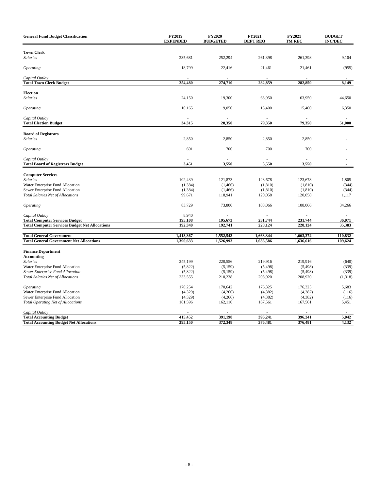| <b>General Fund Budget Classification</b>                 | FY2019<br><b>EXPENDED</b> | <b>FY2020</b><br><b>BUDGETED</b> | FY2021<br><b>DEPT REQ</b> | FY2021<br><b>TM REC</b> | <b>BUDGET</b><br><b>INC/DEC</b> |
|-----------------------------------------------------------|---------------------------|----------------------------------|---------------------------|-------------------------|---------------------------------|
|                                                           |                           |                                  |                           |                         |                                 |
| <b>Town Clerk</b><br><b>Salaries</b>                      | 235,681                   | 252,294                          | 261,398                   | 261,398                 | 9,104                           |
|                                                           |                           |                                  |                           |                         |                                 |
| Operating                                                 | 18,799                    | 22,416                           | 21,461                    | 21,461                  | (955)                           |
| Capital Outlay                                            |                           |                                  |                           |                         |                                 |
| <b>Total Town Clerk Budget</b>                            | 254,480                   | 274,710                          | 282,859                   | 282,859                 | 8,149                           |
| <b>Election</b>                                           |                           |                                  |                           |                         |                                 |
| <b>Salaries</b>                                           | 24,150                    | 19,300                           | 63,950                    | 63,950                  | 44,650                          |
|                                                           |                           |                                  |                           |                         |                                 |
| <i><b>Operating</b></i>                                   | 10,165                    | 9,050                            | 15,400                    | 15,400                  | 6,350                           |
| Capital Outlay                                            |                           |                                  |                           |                         |                                 |
| <b>Total Election Budget</b>                              | 34,315                    | 28,350                           | 79,350                    | 79,350                  | 51,000                          |
|                                                           |                           |                                  |                           |                         |                                 |
| <b>Board of Registrars</b><br>Salaries                    | 2,850                     | 2,850                            | 2,850                     | 2,850                   |                                 |
|                                                           |                           |                                  |                           |                         |                                 |
| Operating                                                 | 601                       | 700                              | 700                       | 700                     |                                 |
|                                                           |                           |                                  |                           |                         |                                 |
| Capital Outlay<br><b>Total Board of Registrars Budget</b> | 3,451                     | 3,550                            | 3,550                     | 3,550                   | $\blacksquare$                  |
|                                                           |                           |                                  |                           |                         |                                 |
| <b>Computer Services</b>                                  |                           |                                  |                           |                         |                                 |
| <b>Salaries</b>                                           | 102,439                   | 121,873                          | 123,678                   | 123,678                 | 1,805                           |
| Water Enterprise Fund Allocation                          | (1, 384)                  | (1, 466)                         | (1, 810)                  | (1, 810)                | (344)                           |
| Sewer Enterprise Fund Allocation                          | (1, 384)                  | (1, 466)                         | (1, 810)                  | (1, 810)                | (344)                           |
| <b>Total Salaries Net of Allocations</b>                  | 99,671                    | 118,941                          | 120,058                   | 120,058                 | 1,117                           |
| Operating                                                 | 83,729                    | 73,800                           | 108,066                   | 108,066                 | 34,266                          |
| Capital Outlay                                            | 8,940                     |                                  |                           |                         |                                 |
| <b>Total Computer Services Budget</b>                     | 195,108                   | 195,673                          | 231,744                   | 231,744                 | 36,071                          |
| <b>Total Computer Services Budget Net Allocations</b>     | 192,340                   | 192,741                          | 228,124                   | 228,124                 | 35,383                          |
| <b>Total General Government</b>                           | 1,413,367                 | 1,552,543                        | 1,663,344                 | 1,663,374               | 110,832                         |
| <b>Total General Government Net Allocations</b>           | 1,390,633                 | 1,526,993                        | 1,636,586                 | 1,636,616               | 109,624                         |
|                                                           |                           |                                  |                           |                         |                                 |
| <b>Finance Department</b>                                 |                           |                                  |                           |                         |                                 |
| <b>Accounting</b>                                         |                           |                                  |                           |                         |                                 |
| <b>Salaries</b>                                           | 245,199                   | 220,556                          | 219,916                   | 219,916                 | (640)                           |
| Water Enterprise Fund Allocation                          | (5,822)                   | (5, 159)                         | (5,498)                   | (5,498)                 | (339)                           |
| <b>Sewer Enterprise Fund Allocation</b>                   | (5,822)                   | (5, 159)                         | (5, 498)                  | (5, 498)                | (339)                           |
| Total Salaries Net of Allocations                         | 233,555                   | 210,238                          | 208,920                   | 208,920                 | (1,318)                         |
| <b>Operating</b>                                          | 170,254                   | 170,642                          | 176,325                   | 176,325                 | 5,683                           |
| Water Enterprise Fund Allocation                          | (4,329)                   | (4,266)                          | (4, 382)                  | (4,382)                 | (116)                           |
| Sewer Enterprise Fund Allocation                          | (4,329)                   | (4,266)                          | (4, 382)                  | (4, 382)                | (116)                           |
| <b>Total Operating Net of Allocations</b>                 | 161,596                   | 162,110                          | 167,561                   | 167,561                 | 5,451                           |
|                                                           |                           |                                  |                           |                         |                                 |
| Capital Outlay<br><b>Total Accounting Budget</b>          | 415,452                   | 391,198                          | 396,241                   | 396,241                 | 5,042                           |
| <b>Total Accounting Budget Net Allocations</b>            | 395,150                   | 372,348                          | 376,481                   | 376,481                 | 4,132                           |
|                                                           |                           |                                  |                           |                         |                                 |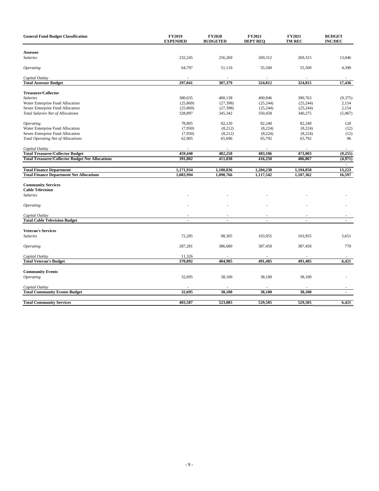| <b>General Fund Budget Classification</b>               | FY2019<br><b>EXPENDED</b> | <b>FY2020</b><br><b>BUDGETED</b> | FY2021<br><b>DEPT REQ</b> | FY2021<br><b>TM REC</b> | <b>BUDGET</b><br><b>INC/DEC</b> |
|---------------------------------------------------------|---------------------------|----------------------------------|---------------------------|-------------------------|---------------------------------|
|                                                         |                           |                                  |                           |                         |                                 |
| Assessor                                                | 232,245                   |                                  | 269,312                   | 269,315                 | 13,046                          |
| <b>Salaries</b>                                         |                           | 256,269                          |                           |                         |                                 |
| <b>Operating</b>                                        | 64,797                    | 51,110                           | 55,500                    | 55,500                  | 4,390                           |
| Capital Outlay                                          |                           |                                  |                           |                         |                                 |
| <b>Total Assessor Budget</b>                            | 297,041                   | 307,379                          | 324,812                   | 324,815                 | 17,436                          |
| <b>Treasurer/Collector</b>                              |                           |                                  |                           |                         |                                 |
| <b>Salaries</b>                                         | 380,635                   | 400,138                          | 400,946                   | 390,763                 | (9,375)                         |
| Water Enterprise Fund Allocation                        | (25, 869)                 | (27, 398)                        | (25, 244)                 | (25, 244)               | 2,154                           |
| Sewer Enterprise Fund Allocation                        | (25, 869)                 | (27, 398)                        | (25, 244)                 | (25, 244)               | 2,154                           |
| <b>Total Salaries Net of Allocations</b>                | 328,897                   | 345,342                          | 350,458                   | 340,275                 | (5,067)                         |
|                                                         |                           |                                  |                           |                         |                                 |
| <i><b>Operating</b></i>                                 | 78,805                    | 82,120                           | 82,240                    | 82,240                  | 120                             |
| Water Enterprise Fund Allocation                        | (7,950)                   | (8,212)                          | (8,224)                   | (8,224)                 | (12)                            |
| Sewer Enterprise Fund Allocation                        | (7,950)                   | (8,212)                          | (8,224)                   | (8,224)                 | (12)                            |
| <b>Total Operating Net of Allocations</b>               | 62,905                    | 65,696                           | 65,792                    | 65,792                  | 96                              |
| Capital Outlay                                          |                           |                                  |                           |                         |                                 |
| <b>Total Treasurer/Collector Budget</b>                 | 459,440                   | 482,258                          | 483,186                   | 473,003                 | (9,255)                         |
| <b>Total Treasurer/Collector Budget Net Allocations</b> | 391,802                   | 411,038                          | 416,250                   | 406,067                 | (4,971)                         |
|                                                         |                           |                                  |                           |                         |                                 |
| <b>Total Finance Department</b>                         | 1,171,934                 | 1,180,836                        | 1,204,238                 | 1,194,058               | 13,223                          |
| <b>Total Finance Department Net Allocations</b>         | 1,083,994                 | 1,090,766                        | 1,117,542                 | 1,107,362               | 16,597                          |
| <b>Community Services</b>                               |                           |                                  |                           |                         |                                 |
| <b>Cable Television</b>                                 |                           |                                  |                           |                         |                                 |
| <b>Salaries</b>                                         |                           |                                  |                           |                         |                                 |
| <b>Operating</b>                                        |                           |                                  |                           |                         |                                 |
|                                                         |                           |                                  |                           |                         |                                 |
| Capital Outlay<br><b>Total Cable Television Budget</b>  | $\blacksquare$            | $\blacksquare$                   | $\blacksquare$            | $\blacksquare$          | $\blacksquare$                  |
|                                                         |                           |                                  |                           |                         |                                 |
| <b>Veteran's Services</b>                               |                           |                                  |                           |                         |                                 |
| <b>Salaries</b>                                         | 72,285                    | 98,305                           | 103,955                   | 103,955                 | 5,651                           |
| <b>Operating</b>                                        | 287,281                   | 386,680                          | 387,450                   | 387,450                 | 770                             |
| Capital Outlay                                          | 11,326                    |                                  |                           |                         |                                 |
| <b>Total Veteran's Budget</b>                           | 370,892                   | 484,985                          | 491,405                   | 491,405                 | 6,421                           |
|                                                         |                           |                                  |                           |                         |                                 |
| <b>Community Events</b>                                 |                           |                                  |                           |                         |                                 |
| <b>Operating</b>                                        | 32,695                    | 38,100                           | 38,100                    | 38,100                  |                                 |
| Capital Outlay                                          |                           |                                  |                           |                         |                                 |
| <b>Total Community Events Budget</b>                    | 32,695                    | 38,100                           | 38,100                    | 38,100                  |                                 |
|                                                         |                           |                                  |                           |                         |                                 |
| <b>Total Community Services</b>                         | 403,587                   | 523,085                          | 529,505                   | 529,505                 | 6,421                           |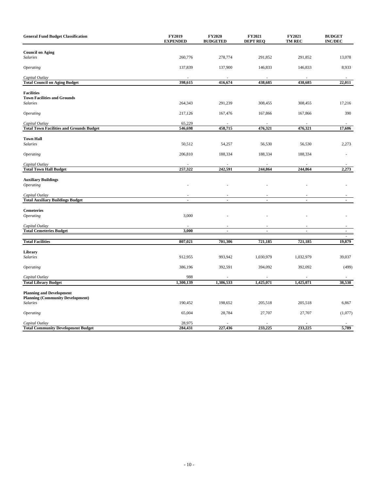| <b>General Fund Budget Classification</b>                         | FY2019<br><b>EXPENDED</b> | <b>FY2020</b><br><b>BUDGETED</b> | FY2021<br><b>DEPT REQ</b> | FY2021<br>TM REC | <b>BUDGET</b><br><b>INC/DEC</b> |
|-------------------------------------------------------------------|---------------------------|----------------------------------|---------------------------|------------------|---------------------------------|
| <b>Council on Aging</b>                                           |                           |                                  |                           |                  |                                 |
| <b>Salaries</b>                                                   | 260,776                   | 278,774                          | 291,852                   | 291,852          | 13,078                          |
| Operating                                                         | 137,839                   | 137,900                          | 146,833                   | 146,833          | 8,933                           |
|                                                                   |                           |                                  |                           |                  |                                 |
| Capital Outlay<br><b>Total Council on Aging Budget</b>            | 398,615                   | 416,674                          | 438,685                   | 438,685          | 22,011                          |
|                                                                   |                           |                                  |                           |                  |                                 |
| <b>Facilities</b><br><b>Town Facilities and Grounds</b>           |                           |                                  |                           |                  |                                 |
| <b>Salaries</b>                                                   | 264,343                   | 291,239                          | 308,455                   | 308,455          | 17,216                          |
| <i><b>Operating</b></i>                                           | 217,126                   | 167,476                          | 167,866                   | 167,866          | 390                             |
|                                                                   |                           |                                  |                           |                  |                                 |
| Capital Outlay<br><b>Total Town Facilities and Grounds Budget</b> | 65,229<br>546,698         | 458,715                          | 476,321                   | 476,321          | 17,606                          |
|                                                                   |                           |                                  |                           |                  |                                 |
| <b>Town Hall</b><br><b>Salaries</b>                               | 50,512                    | 54,257                           | 56,530                    | 56,530           | 2,273                           |
|                                                                   |                           |                                  |                           |                  |                                 |
| Operating                                                         | 206,810                   | 188,334                          | 188,334                   | 188,334          |                                 |
| Capital Outlay                                                    |                           |                                  |                           |                  |                                 |
| <b>Total Town Hall Budget</b>                                     | 257,322                   | 242,591                          | 244,864                   | 244,864          | 2,273                           |
| <b>Auxiliary Buildings</b>                                        |                           |                                  |                           |                  |                                 |
| <b>Operating</b>                                                  |                           |                                  |                           |                  |                                 |
|                                                                   |                           |                                  |                           |                  |                                 |
| Capital Outlay<br><b>Total Auxiliary Buildings Budget</b>         |                           |                                  |                           |                  |                                 |
|                                                                   |                           |                                  |                           |                  |                                 |
| <b>Cemeteries</b>                                                 |                           |                                  |                           |                  |                                 |
| <b>Operating</b>                                                  | 3,000                     |                                  |                           |                  |                                 |
| Capital Outlay                                                    |                           |                                  |                           |                  |                                 |
| <b>Total Cemeteries Budget</b>                                    | 3,000                     | ÷,                               | $\overline{a}$            | $\overline{a}$   | $\blacksquare$                  |
| <b>Total Facilities</b>                                           | 807,021                   | 701,306                          | 721,185                   | 721,185          | ÷.<br>19,879                    |
| Library                                                           |                           |                                  |                           |                  |                                 |
| Salaries                                                          | 912,955                   | 993,942                          | 1,030,979                 | 1,032,979        | 39,037                          |
|                                                                   |                           |                                  |                           |                  |                                 |
| Operating                                                         | 386,196                   | 392,591                          | 394,092                   | 392,092          | (499)                           |
| Capital Outlay                                                    | 988                       |                                  |                           |                  |                                 |
| <b>Total Library Budget</b>                                       | 1,300,139                 | 1,386,533                        | 1,425,071                 | 1,425,071        | 38,538                          |
| <b>Planning and Development</b>                                   |                           |                                  |                           |                  |                                 |
| <b>Planning (Community Development)</b><br><b>Salaries</b>        | 190,452                   | 198,652                          | 205,518                   | 205,518          | 6,867                           |
|                                                                   |                           |                                  |                           |                  |                                 |
| <b>Operating</b>                                                  | 65,004                    | 28,784                           | 27,707                    | 27,707           | (1,077)                         |
| Capital Outlay                                                    | 28,975                    |                                  |                           |                  |                                 |
| <b>Total Community Development Budget</b>                         | 284,431                   | 227,436                          | 233,225                   | 233,225          | 5,789                           |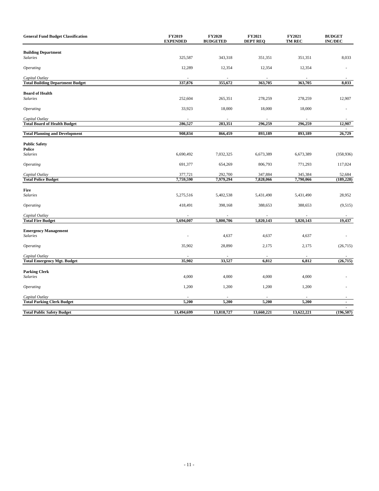| <b>General Fund Budget Classification</b> | FY2019<br><b>EXPENDED</b> | FY2020<br><b>BUDGETED</b> | FY2021<br><b>DEPT REQ</b> | FY2021<br>TM REC | <b>BUDGET</b><br><b>INC/DEC</b> |
|-------------------------------------------|---------------------------|---------------------------|---------------------------|------------------|---------------------------------|
| <b>Building Department</b>                |                           |                           |                           |                  |                                 |
| <b>Salaries</b>                           | 325,587                   | 343,318                   | 351,351                   | 351,351          | 8,033                           |
| <i><b>Operating</b></i>                   | 12,289                    | 12,354                    | 12,354                    | 12,354           |                                 |
| Capital Outlay                            |                           |                           |                           |                  |                                 |
| <b>Total Building Department Budget</b>   | 337,876                   | 355,672                   | 363,705                   | 363,705          | 8,033                           |
| <b>Board of Health</b>                    |                           |                           |                           |                  |                                 |
| <b>Salaries</b>                           | 252,604                   | 265,351                   | 278,259                   | 278,259          | 12,907                          |
| Operating                                 | 33,923                    | 18,000                    | 18,000                    | 18,000           |                                 |
| Capital Outlay                            |                           |                           |                           |                  |                                 |
| <b>Total Board of Health Budget</b>       | 286,527                   | 283,351                   | 296,259                   | 296,259          | 12,907                          |
| <b>Total Planning and Development</b>     | 908,834                   | 866,459                   | 893,189                   | 893,189          | 26,729                          |
| <b>Public Safety</b>                      |                           |                           |                           |                  |                                 |
| Police                                    |                           |                           |                           |                  |                                 |
| <b>Salaries</b>                           | 6,690,492                 | 7,032,325                 | 6,673,389                 | 6,673,389        | (358, 936)                      |
| Operating                                 | 691,377                   | 654,269                   | 806,793                   | 771,293          | 117,024                         |
| Capital Outlay                            | 377,721                   | 292,700                   | 347,884                   | 345,384          | 52,684                          |
| <b>Total Police Budget</b>                | 7,759,590                 | 7,979,294                 | 7,828,066                 | 7,790,066        | (189, 228)                      |
| Fire                                      |                           |                           |                           |                  |                                 |
| <b>Salaries</b>                           | 5,275,516                 | 5,402,538                 | 5,431,490                 | 5,431,490        | 28,952                          |
| Operating                                 | 418,491                   | 398,168                   | 388,653                   | 388,653          | (9,515)                         |
| Capital Outlay                            |                           |                           |                           |                  |                                 |
| <b>Total Fire Budget</b>                  | 5,694,007                 | 5,800,706                 | 5,820,143                 | 5,820,143        | 19,437                          |
| <b>Emergency Management</b>               |                           |                           |                           |                  |                                 |
| <b>Salaries</b>                           |                           | 4,637                     | 4,637                     | 4,637            |                                 |
| <b>Operating</b>                          | 35,902                    | 28,890                    | 2,175                     | 2,175            | (26,715)                        |
| Capital Outlay                            |                           |                           |                           |                  |                                 |
| <b>Total Emergency Mgt. Budget</b>        | 35,902                    | 33,527                    | 6,812                     | 6,812            | (26, 715)                       |
| <b>Parking Clerk</b>                      |                           |                           |                           |                  |                                 |
| <b>Salaries</b>                           | 4,000                     | 4,000                     | 4,000                     | 4,000            |                                 |
| <b>Operating</b>                          | 1,200                     | 1,200                     | 1,200                     | 1,200            |                                 |
| Capital Outlay                            |                           |                           |                           |                  |                                 |
| <b>Total Parking Clerk Budget</b>         | 5,200                     | 5,200                     | 5,200                     | 5,200            | $\blacksquare$                  |
| <b>Total Public Safety Budget</b>         | 13,494,699                | 13,818,727                | 13,660,221                | 13,622,221       | (196, 507)                      |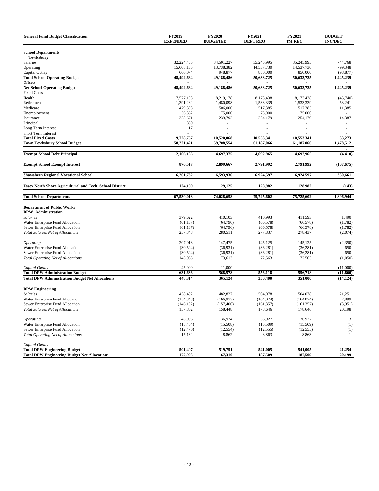| <b>School Departments</b><br><b>Tewksbury</b><br>Salaries<br>32,224,455<br>34,501,227<br>35,245,995<br>35.245.995<br>744,768<br>15,608,135<br>13,738,382<br>14,537,730<br>14,537,730<br>799,348<br>Operating<br>850,000<br>Capital Outlay<br>660,074<br>948,877<br>850,000<br>(98, 877)<br><b>Total School Operating Budget</b><br>48,492,664<br>49,188,486<br>50,633,725<br>50,633,725<br>1,445,239<br>Offsets<br><b>Net School Operating Budget</b><br>48,492,664<br>49,188,486<br>50,633,725<br>50,633,725<br>1,445,239<br><b>Fixed Costs</b><br>Health<br>7,577,198<br>8,173,438<br>(45,740)<br>8,219,178<br>8,173,438<br>1,391,282<br>1,480,098<br>1,533,339<br>1,533,339<br>53,241<br>Retirement<br>Medicare<br>479,398<br>506,000<br>517,385<br>517,385<br>11,385<br>Unemployment<br>56,362<br>75,000<br>75,000<br>75,000<br>Insurance<br>223,671<br>239,792<br>254,179<br>254,179<br>14,387<br>830<br>Principal<br>Long Term Interest<br>17<br>Short Term Interest<br>9,728,757<br><b>Total Fixed Costs</b><br>10,520,068<br>10,553,341<br>10,553,341<br>33,273<br><b>Town Tewksbury School Budget</b><br>58,221,421<br>59,708,554<br>61,187,066<br>1,478,512<br>61,187,066<br><b>Exempt School Debt Principal</b><br>2,106,185<br>4,697,375<br>4,692,965<br>4,692,965<br>(4, 410)<br><b>Exempt School Exempt Interest</b><br>876,517<br>2,899,667<br>2,791,992<br>2,791,992<br>(107, 675)<br><b>Shawsheen Regional Vocational School</b><br>6,201,732<br>6,593,936<br>6,924,597<br>6,924,597<br>330,661<br><b>Essex North Shore Agricultural and Tech. School District</b><br>124,159<br>129,125<br>128,982<br>128,982<br>(143)<br>67,530,013<br>74,028,658<br>75,725,602<br>75,725,602<br>1,696,944<br><b>Total School Departments</b><br><b>Department of Public Works</b><br><b>DPW</b> Administration<br>379,622<br><b>Salaries</b><br>410,103<br>410,993<br>411,593<br>1,490<br>Water Enterprise Fund Allocation<br>(64,796)<br>(66, 578)<br>(1,782)<br>(61, 137)<br>(66, 578)<br>Sewer Enterprise Fund Allocation<br>(64,796)<br>(66, 578)<br>(1,782)<br>(61, 137)<br>(66, 578)<br>257,348<br>280,511<br>277,837<br>278,437<br>(2,074)<br><b>Total Salaries Net of Allocations</b><br>207,013<br>147,475<br>145,125<br><i><b>Operating</b></i><br>145,125<br>(2,350)<br>Water Enterprise Fund Allocation<br>(30, 524)<br>(36,931)<br>(36, 281)<br>(36, 281)<br>650<br>Sewer Enterprise Fund Allocation<br>(36,931)<br>(36, 281)<br>650<br>(30, 524)<br>(36, 281)<br><b>Total Operating Net of Allocations</b><br>145,965<br>73,613<br>72,563<br>72,563<br>(1,050)<br>45,000<br>11,000<br>(11,000)<br>Capital Outlay<br><b>Total DPW Administration Budget</b><br>568,578<br>556,118<br>556,718<br>631,636<br>(11, 860)<br><b>Total DPW Administration Budget Net Allocations</b><br>448,314<br>365,124<br>350,400<br>351,000<br>(14, 124)<br><b>DPW Engineering</b><br>458,402<br>482,827<br>504,078<br>504,078<br>21,251<br>Salaries<br>Water Enterprise Fund Allocation<br>(154, 348)<br>(166, 973)<br>(164, 074)<br>(164, 074)<br>2,899<br>Sewer Enterprise Fund Allocation<br>(146, 192)<br>(157, 406)<br>(161, 357)<br>(161, 357)<br>(3,951)<br>Total Salaries Net of Allocations<br>157,862<br>158,448<br>178,646<br>178,646<br>20,198<br>43,006<br>36,924<br>36,927<br><b>Operating</b><br>36,927<br>3<br>Water Enterprise Fund Allocation<br>(1)<br>(15, 404)<br>(15,508)<br>(15,509)<br>(15,509)<br>Sewer Enterprise Fund Allocation<br>(12, 470)<br>(12, 554)<br>(12, 555)<br>(12, 555)<br>(1)<br><b>Total Operating Net of Allocations</b><br>15,132<br>8,862<br>8,863<br>8,863<br>1<br>Capital Outlay<br>519,751<br>541,005<br><b>Total DPW Engineering Budget</b><br>501,407<br>541,005<br>21,254<br>20,199<br><b>Total DPW Engineering Budget Net Allocations</b><br>172,993<br>167,310<br>187,509<br>187,509 | <b>General Fund Budget Classification</b> | <b>FY2019</b><br><b>EXPENDED</b> | <b>FY2020</b><br><b>BUDGETED</b> | FY2021<br><b>DEPT REQ</b> | <b>FY2021</b><br><b>TM REC</b> | <b>BUDGET</b><br><b>INC/DEC</b> |
|--------------------------------------------------------------------------------------------------------------------------------------------------------------------------------------------------------------------------------------------------------------------------------------------------------------------------------------------------------------------------------------------------------------------------------------------------------------------------------------------------------------------------------------------------------------------------------------------------------------------------------------------------------------------------------------------------------------------------------------------------------------------------------------------------------------------------------------------------------------------------------------------------------------------------------------------------------------------------------------------------------------------------------------------------------------------------------------------------------------------------------------------------------------------------------------------------------------------------------------------------------------------------------------------------------------------------------------------------------------------------------------------------------------------------------------------------------------------------------------------------------------------------------------------------------------------------------------------------------------------------------------------------------------------------------------------------------------------------------------------------------------------------------------------------------------------------------------------------------------------------------------------------------------------------------------------------------------------------------------------------------------------------------------------------------------------------------------------------------------------------------------------------------------------------------------------------------------------------------------------------------------------------------------------------------------------------------------------------------------------------------------------------------------------------------------------------------------------------------------------------------------------------------------------------------------------------------------------------------------------------------------------------------------------------------------------------------------------------------------------------------------------------------------------------------------------------------------------------------------------------------------------------------------------------------------------------------------------------------------------------------------------------------------------------------------------------------------------------------------------------------------------------------------------------------------------------------------------------------------------------------------------------------------------------------------------------------------------------------------------------------------------------------------------------------------------------------------------------------------------------------------------------------------------------------------------------------------------------------------------------------------------------------------------------------------------------------------------------------------------------------------------------------------------------------------------------------------------|-------------------------------------------|----------------------------------|----------------------------------|---------------------------|--------------------------------|---------------------------------|
|                                                                                                                                                                                                                                                                                                                                                                                                                                                                                                                                                                                                                                                                                                                                                                                                                                                                                                                                                                                                                                                                                                                                                                                                                                                                                                                                                                                                                                                                                                                                                                                                                                                                                                                                                                                                                                                                                                                                                                                                                                                                                                                                                                                                                                                                                                                                                                                                                                                                                                                                                                                                                                                                                                                                                                                                                                                                                                                                                                                                                                                                                                                                                                                                                                                                                                                                                                                                                                                                                                                                                                                                                                                                                                                                                                                                                                            |                                           |                                  |                                  |                           |                                |                                 |
|                                                                                                                                                                                                                                                                                                                                                                                                                                                                                                                                                                                                                                                                                                                                                                                                                                                                                                                                                                                                                                                                                                                                                                                                                                                                                                                                                                                                                                                                                                                                                                                                                                                                                                                                                                                                                                                                                                                                                                                                                                                                                                                                                                                                                                                                                                                                                                                                                                                                                                                                                                                                                                                                                                                                                                                                                                                                                                                                                                                                                                                                                                                                                                                                                                                                                                                                                                                                                                                                                                                                                                                                                                                                                                                                                                                                                                            |                                           |                                  |                                  |                           |                                |                                 |
|                                                                                                                                                                                                                                                                                                                                                                                                                                                                                                                                                                                                                                                                                                                                                                                                                                                                                                                                                                                                                                                                                                                                                                                                                                                                                                                                                                                                                                                                                                                                                                                                                                                                                                                                                                                                                                                                                                                                                                                                                                                                                                                                                                                                                                                                                                                                                                                                                                                                                                                                                                                                                                                                                                                                                                                                                                                                                                                                                                                                                                                                                                                                                                                                                                                                                                                                                                                                                                                                                                                                                                                                                                                                                                                                                                                                                                            |                                           |                                  |                                  |                           |                                |                                 |
|                                                                                                                                                                                                                                                                                                                                                                                                                                                                                                                                                                                                                                                                                                                                                                                                                                                                                                                                                                                                                                                                                                                                                                                                                                                                                                                                                                                                                                                                                                                                                                                                                                                                                                                                                                                                                                                                                                                                                                                                                                                                                                                                                                                                                                                                                                                                                                                                                                                                                                                                                                                                                                                                                                                                                                                                                                                                                                                                                                                                                                                                                                                                                                                                                                                                                                                                                                                                                                                                                                                                                                                                                                                                                                                                                                                                                                            |                                           |                                  |                                  |                           |                                |                                 |
|                                                                                                                                                                                                                                                                                                                                                                                                                                                                                                                                                                                                                                                                                                                                                                                                                                                                                                                                                                                                                                                                                                                                                                                                                                                                                                                                                                                                                                                                                                                                                                                                                                                                                                                                                                                                                                                                                                                                                                                                                                                                                                                                                                                                                                                                                                                                                                                                                                                                                                                                                                                                                                                                                                                                                                                                                                                                                                                                                                                                                                                                                                                                                                                                                                                                                                                                                                                                                                                                                                                                                                                                                                                                                                                                                                                                                                            |                                           |                                  |                                  |                           |                                |                                 |
|                                                                                                                                                                                                                                                                                                                                                                                                                                                                                                                                                                                                                                                                                                                                                                                                                                                                                                                                                                                                                                                                                                                                                                                                                                                                                                                                                                                                                                                                                                                                                                                                                                                                                                                                                                                                                                                                                                                                                                                                                                                                                                                                                                                                                                                                                                                                                                                                                                                                                                                                                                                                                                                                                                                                                                                                                                                                                                                                                                                                                                                                                                                                                                                                                                                                                                                                                                                                                                                                                                                                                                                                                                                                                                                                                                                                                                            |                                           |                                  |                                  |                           |                                |                                 |
|                                                                                                                                                                                                                                                                                                                                                                                                                                                                                                                                                                                                                                                                                                                                                                                                                                                                                                                                                                                                                                                                                                                                                                                                                                                                                                                                                                                                                                                                                                                                                                                                                                                                                                                                                                                                                                                                                                                                                                                                                                                                                                                                                                                                                                                                                                                                                                                                                                                                                                                                                                                                                                                                                                                                                                                                                                                                                                                                                                                                                                                                                                                                                                                                                                                                                                                                                                                                                                                                                                                                                                                                                                                                                                                                                                                                                                            |                                           |                                  |                                  |                           |                                |                                 |
|                                                                                                                                                                                                                                                                                                                                                                                                                                                                                                                                                                                                                                                                                                                                                                                                                                                                                                                                                                                                                                                                                                                                                                                                                                                                                                                                                                                                                                                                                                                                                                                                                                                                                                                                                                                                                                                                                                                                                                                                                                                                                                                                                                                                                                                                                                                                                                                                                                                                                                                                                                                                                                                                                                                                                                                                                                                                                                                                                                                                                                                                                                                                                                                                                                                                                                                                                                                                                                                                                                                                                                                                                                                                                                                                                                                                                                            |                                           |                                  |                                  |                           |                                |                                 |
|                                                                                                                                                                                                                                                                                                                                                                                                                                                                                                                                                                                                                                                                                                                                                                                                                                                                                                                                                                                                                                                                                                                                                                                                                                                                                                                                                                                                                                                                                                                                                                                                                                                                                                                                                                                                                                                                                                                                                                                                                                                                                                                                                                                                                                                                                                                                                                                                                                                                                                                                                                                                                                                                                                                                                                                                                                                                                                                                                                                                                                                                                                                                                                                                                                                                                                                                                                                                                                                                                                                                                                                                                                                                                                                                                                                                                                            |                                           |                                  |                                  |                           |                                |                                 |
|                                                                                                                                                                                                                                                                                                                                                                                                                                                                                                                                                                                                                                                                                                                                                                                                                                                                                                                                                                                                                                                                                                                                                                                                                                                                                                                                                                                                                                                                                                                                                                                                                                                                                                                                                                                                                                                                                                                                                                                                                                                                                                                                                                                                                                                                                                                                                                                                                                                                                                                                                                                                                                                                                                                                                                                                                                                                                                                                                                                                                                                                                                                                                                                                                                                                                                                                                                                                                                                                                                                                                                                                                                                                                                                                                                                                                                            |                                           |                                  |                                  |                           |                                |                                 |
|                                                                                                                                                                                                                                                                                                                                                                                                                                                                                                                                                                                                                                                                                                                                                                                                                                                                                                                                                                                                                                                                                                                                                                                                                                                                                                                                                                                                                                                                                                                                                                                                                                                                                                                                                                                                                                                                                                                                                                                                                                                                                                                                                                                                                                                                                                                                                                                                                                                                                                                                                                                                                                                                                                                                                                                                                                                                                                                                                                                                                                                                                                                                                                                                                                                                                                                                                                                                                                                                                                                                                                                                                                                                                                                                                                                                                                            |                                           |                                  |                                  |                           |                                |                                 |
|                                                                                                                                                                                                                                                                                                                                                                                                                                                                                                                                                                                                                                                                                                                                                                                                                                                                                                                                                                                                                                                                                                                                                                                                                                                                                                                                                                                                                                                                                                                                                                                                                                                                                                                                                                                                                                                                                                                                                                                                                                                                                                                                                                                                                                                                                                                                                                                                                                                                                                                                                                                                                                                                                                                                                                                                                                                                                                                                                                                                                                                                                                                                                                                                                                                                                                                                                                                                                                                                                                                                                                                                                                                                                                                                                                                                                                            |                                           |                                  |                                  |                           |                                |                                 |
|                                                                                                                                                                                                                                                                                                                                                                                                                                                                                                                                                                                                                                                                                                                                                                                                                                                                                                                                                                                                                                                                                                                                                                                                                                                                                                                                                                                                                                                                                                                                                                                                                                                                                                                                                                                                                                                                                                                                                                                                                                                                                                                                                                                                                                                                                                                                                                                                                                                                                                                                                                                                                                                                                                                                                                                                                                                                                                                                                                                                                                                                                                                                                                                                                                                                                                                                                                                                                                                                                                                                                                                                                                                                                                                                                                                                                                            |                                           |                                  |                                  |                           |                                |                                 |
|                                                                                                                                                                                                                                                                                                                                                                                                                                                                                                                                                                                                                                                                                                                                                                                                                                                                                                                                                                                                                                                                                                                                                                                                                                                                                                                                                                                                                                                                                                                                                                                                                                                                                                                                                                                                                                                                                                                                                                                                                                                                                                                                                                                                                                                                                                                                                                                                                                                                                                                                                                                                                                                                                                                                                                                                                                                                                                                                                                                                                                                                                                                                                                                                                                                                                                                                                                                                                                                                                                                                                                                                                                                                                                                                                                                                                                            |                                           |                                  |                                  |                           |                                |                                 |
|                                                                                                                                                                                                                                                                                                                                                                                                                                                                                                                                                                                                                                                                                                                                                                                                                                                                                                                                                                                                                                                                                                                                                                                                                                                                                                                                                                                                                                                                                                                                                                                                                                                                                                                                                                                                                                                                                                                                                                                                                                                                                                                                                                                                                                                                                                                                                                                                                                                                                                                                                                                                                                                                                                                                                                                                                                                                                                                                                                                                                                                                                                                                                                                                                                                                                                                                                                                                                                                                                                                                                                                                                                                                                                                                                                                                                                            |                                           |                                  |                                  |                           |                                |                                 |
|                                                                                                                                                                                                                                                                                                                                                                                                                                                                                                                                                                                                                                                                                                                                                                                                                                                                                                                                                                                                                                                                                                                                                                                                                                                                                                                                                                                                                                                                                                                                                                                                                                                                                                                                                                                                                                                                                                                                                                                                                                                                                                                                                                                                                                                                                                                                                                                                                                                                                                                                                                                                                                                                                                                                                                                                                                                                                                                                                                                                                                                                                                                                                                                                                                                                                                                                                                                                                                                                                                                                                                                                                                                                                                                                                                                                                                            |                                           |                                  |                                  |                           |                                |                                 |
|                                                                                                                                                                                                                                                                                                                                                                                                                                                                                                                                                                                                                                                                                                                                                                                                                                                                                                                                                                                                                                                                                                                                                                                                                                                                                                                                                                                                                                                                                                                                                                                                                                                                                                                                                                                                                                                                                                                                                                                                                                                                                                                                                                                                                                                                                                                                                                                                                                                                                                                                                                                                                                                                                                                                                                                                                                                                                                                                                                                                                                                                                                                                                                                                                                                                                                                                                                                                                                                                                                                                                                                                                                                                                                                                                                                                                                            |                                           |                                  |                                  |                           |                                |                                 |
|                                                                                                                                                                                                                                                                                                                                                                                                                                                                                                                                                                                                                                                                                                                                                                                                                                                                                                                                                                                                                                                                                                                                                                                                                                                                                                                                                                                                                                                                                                                                                                                                                                                                                                                                                                                                                                                                                                                                                                                                                                                                                                                                                                                                                                                                                                                                                                                                                                                                                                                                                                                                                                                                                                                                                                                                                                                                                                                                                                                                                                                                                                                                                                                                                                                                                                                                                                                                                                                                                                                                                                                                                                                                                                                                                                                                                                            |                                           |                                  |                                  |                           |                                |                                 |
|                                                                                                                                                                                                                                                                                                                                                                                                                                                                                                                                                                                                                                                                                                                                                                                                                                                                                                                                                                                                                                                                                                                                                                                                                                                                                                                                                                                                                                                                                                                                                                                                                                                                                                                                                                                                                                                                                                                                                                                                                                                                                                                                                                                                                                                                                                                                                                                                                                                                                                                                                                                                                                                                                                                                                                                                                                                                                                                                                                                                                                                                                                                                                                                                                                                                                                                                                                                                                                                                                                                                                                                                                                                                                                                                                                                                                                            |                                           |                                  |                                  |                           |                                |                                 |
|                                                                                                                                                                                                                                                                                                                                                                                                                                                                                                                                                                                                                                                                                                                                                                                                                                                                                                                                                                                                                                                                                                                                                                                                                                                                                                                                                                                                                                                                                                                                                                                                                                                                                                                                                                                                                                                                                                                                                                                                                                                                                                                                                                                                                                                                                                                                                                                                                                                                                                                                                                                                                                                                                                                                                                                                                                                                                                                                                                                                                                                                                                                                                                                                                                                                                                                                                                                                                                                                                                                                                                                                                                                                                                                                                                                                                                            |                                           |                                  |                                  |                           |                                |                                 |
|                                                                                                                                                                                                                                                                                                                                                                                                                                                                                                                                                                                                                                                                                                                                                                                                                                                                                                                                                                                                                                                                                                                                                                                                                                                                                                                                                                                                                                                                                                                                                                                                                                                                                                                                                                                                                                                                                                                                                                                                                                                                                                                                                                                                                                                                                                                                                                                                                                                                                                                                                                                                                                                                                                                                                                                                                                                                                                                                                                                                                                                                                                                                                                                                                                                                                                                                                                                                                                                                                                                                                                                                                                                                                                                                                                                                                                            |                                           |                                  |                                  |                           |                                |                                 |
|                                                                                                                                                                                                                                                                                                                                                                                                                                                                                                                                                                                                                                                                                                                                                                                                                                                                                                                                                                                                                                                                                                                                                                                                                                                                                                                                                                                                                                                                                                                                                                                                                                                                                                                                                                                                                                                                                                                                                                                                                                                                                                                                                                                                                                                                                                                                                                                                                                                                                                                                                                                                                                                                                                                                                                                                                                                                                                                                                                                                                                                                                                                                                                                                                                                                                                                                                                                                                                                                                                                                                                                                                                                                                                                                                                                                                                            |                                           |                                  |                                  |                           |                                |                                 |
|                                                                                                                                                                                                                                                                                                                                                                                                                                                                                                                                                                                                                                                                                                                                                                                                                                                                                                                                                                                                                                                                                                                                                                                                                                                                                                                                                                                                                                                                                                                                                                                                                                                                                                                                                                                                                                                                                                                                                                                                                                                                                                                                                                                                                                                                                                                                                                                                                                                                                                                                                                                                                                                                                                                                                                                                                                                                                                                                                                                                                                                                                                                                                                                                                                                                                                                                                                                                                                                                                                                                                                                                                                                                                                                                                                                                                                            |                                           |                                  |                                  |                           |                                |                                 |
|                                                                                                                                                                                                                                                                                                                                                                                                                                                                                                                                                                                                                                                                                                                                                                                                                                                                                                                                                                                                                                                                                                                                                                                                                                                                                                                                                                                                                                                                                                                                                                                                                                                                                                                                                                                                                                                                                                                                                                                                                                                                                                                                                                                                                                                                                                                                                                                                                                                                                                                                                                                                                                                                                                                                                                                                                                                                                                                                                                                                                                                                                                                                                                                                                                                                                                                                                                                                                                                                                                                                                                                                                                                                                                                                                                                                                                            |                                           |                                  |                                  |                           |                                |                                 |
|                                                                                                                                                                                                                                                                                                                                                                                                                                                                                                                                                                                                                                                                                                                                                                                                                                                                                                                                                                                                                                                                                                                                                                                                                                                                                                                                                                                                                                                                                                                                                                                                                                                                                                                                                                                                                                                                                                                                                                                                                                                                                                                                                                                                                                                                                                                                                                                                                                                                                                                                                                                                                                                                                                                                                                                                                                                                                                                                                                                                                                                                                                                                                                                                                                                                                                                                                                                                                                                                                                                                                                                                                                                                                                                                                                                                                                            |                                           |                                  |                                  |                           |                                |                                 |
|                                                                                                                                                                                                                                                                                                                                                                                                                                                                                                                                                                                                                                                                                                                                                                                                                                                                                                                                                                                                                                                                                                                                                                                                                                                                                                                                                                                                                                                                                                                                                                                                                                                                                                                                                                                                                                                                                                                                                                                                                                                                                                                                                                                                                                                                                                                                                                                                                                                                                                                                                                                                                                                                                                                                                                                                                                                                                                                                                                                                                                                                                                                                                                                                                                                                                                                                                                                                                                                                                                                                                                                                                                                                                                                                                                                                                                            |                                           |                                  |                                  |                           |                                |                                 |
|                                                                                                                                                                                                                                                                                                                                                                                                                                                                                                                                                                                                                                                                                                                                                                                                                                                                                                                                                                                                                                                                                                                                                                                                                                                                                                                                                                                                                                                                                                                                                                                                                                                                                                                                                                                                                                                                                                                                                                                                                                                                                                                                                                                                                                                                                                                                                                                                                                                                                                                                                                                                                                                                                                                                                                                                                                                                                                                                                                                                                                                                                                                                                                                                                                                                                                                                                                                                                                                                                                                                                                                                                                                                                                                                                                                                                                            |                                           |                                  |                                  |                           |                                |                                 |
|                                                                                                                                                                                                                                                                                                                                                                                                                                                                                                                                                                                                                                                                                                                                                                                                                                                                                                                                                                                                                                                                                                                                                                                                                                                                                                                                                                                                                                                                                                                                                                                                                                                                                                                                                                                                                                                                                                                                                                                                                                                                                                                                                                                                                                                                                                                                                                                                                                                                                                                                                                                                                                                                                                                                                                                                                                                                                                                                                                                                                                                                                                                                                                                                                                                                                                                                                                                                                                                                                                                                                                                                                                                                                                                                                                                                                                            |                                           |                                  |                                  |                           |                                |                                 |
|                                                                                                                                                                                                                                                                                                                                                                                                                                                                                                                                                                                                                                                                                                                                                                                                                                                                                                                                                                                                                                                                                                                                                                                                                                                                                                                                                                                                                                                                                                                                                                                                                                                                                                                                                                                                                                                                                                                                                                                                                                                                                                                                                                                                                                                                                                                                                                                                                                                                                                                                                                                                                                                                                                                                                                                                                                                                                                                                                                                                                                                                                                                                                                                                                                                                                                                                                                                                                                                                                                                                                                                                                                                                                                                                                                                                                                            |                                           |                                  |                                  |                           |                                |                                 |
|                                                                                                                                                                                                                                                                                                                                                                                                                                                                                                                                                                                                                                                                                                                                                                                                                                                                                                                                                                                                                                                                                                                                                                                                                                                                                                                                                                                                                                                                                                                                                                                                                                                                                                                                                                                                                                                                                                                                                                                                                                                                                                                                                                                                                                                                                                                                                                                                                                                                                                                                                                                                                                                                                                                                                                                                                                                                                                                                                                                                                                                                                                                                                                                                                                                                                                                                                                                                                                                                                                                                                                                                                                                                                                                                                                                                                                            |                                           |                                  |                                  |                           |                                |                                 |
|                                                                                                                                                                                                                                                                                                                                                                                                                                                                                                                                                                                                                                                                                                                                                                                                                                                                                                                                                                                                                                                                                                                                                                                                                                                                                                                                                                                                                                                                                                                                                                                                                                                                                                                                                                                                                                                                                                                                                                                                                                                                                                                                                                                                                                                                                                                                                                                                                                                                                                                                                                                                                                                                                                                                                                                                                                                                                                                                                                                                                                                                                                                                                                                                                                                                                                                                                                                                                                                                                                                                                                                                                                                                                                                                                                                                                                            |                                           |                                  |                                  |                           |                                |                                 |
|                                                                                                                                                                                                                                                                                                                                                                                                                                                                                                                                                                                                                                                                                                                                                                                                                                                                                                                                                                                                                                                                                                                                                                                                                                                                                                                                                                                                                                                                                                                                                                                                                                                                                                                                                                                                                                                                                                                                                                                                                                                                                                                                                                                                                                                                                                                                                                                                                                                                                                                                                                                                                                                                                                                                                                                                                                                                                                                                                                                                                                                                                                                                                                                                                                                                                                                                                                                                                                                                                                                                                                                                                                                                                                                                                                                                                                            |                                           |                                  |                                  |                           |                                |                                 |
|                                                                                                                                                                                                                                                                                                                                                                                                                                                                                                                                                                                                                                                                                                                                                                                                                                                                                                                                                                                                                                                                                                                                                                                                                                                                                                                                                                                                                                                                                                                                                                                                                                                                                                                                                                                                                                                                                                                                                                                                                                                                                                                                                                                                                                                                                                                                                                                                                                                                                                                                                                                                                                                                                                                                                                                                                                                                                                                                                                                                                                                                                                                                                                                                                                                                                                                                                                                                                                                                                                                                                                                                                                                                                                                                                                                                                                            |                                           |                                  |                                  |                           |                                |                                 |
|                                                                                                                                                                                                                                                                                                                                                                                                                                                                                                                                                                                                                                                                                                                                                                                                                                                                                                                                                                                                                                                                                                                                                                                                                                                                                                                                                                                                                                                                                                                                                                                                                                                                                                                                                                                                                                                                                                                                                                                                                                                                                                                                                                                                                                                                                                                                                                                                                                                                                                                                                                                                                                                                                                                                                                                                                                                                                                                                                                                                                                                                                                                                                                                                                                                                                                                                                                                                                                                                                                                                                                                                                                                                                                                                                                                                                                            |                                           |                                  |                                  |                           |                                |                                 |
|                                                                                                                                                                                                                                                                                                                                                                                                                                                                                                                                                                                                                                                                                                                                                                                                                                                                                                                                                                                                                                                                                                                                                                                                                                                                                                                                                                                                                                                                                                                                                                                                                                                                                                                                                                                                                                                                                                                                                                                                                                                                                                                                                                                                                                                                                                                                                                                                                                                                                                                                                                                                                                                                                                                                                                                                                                                                                                                                                                                                                                                                                                                                                                                                                                                                                                                                                                                                                                                                                                                                                                                                                                                                                                                                                                                                                                            |                                           |                                  |                                  |                           |                                |                                 |
|                                                                                                                                                                                                                                                                                                                                                                                                                                                                                                                                                                                                                                                                                                                                                                                                                                                                                                                                                                                                                                                                                                                                                                                                                                                                                                                                                                                                                                                                                                                                                                                                                                                                                                                                                                                                                                                                                                                                                                                                                                                                                                                                                                                                                                                                                                                                                                                                                                                                                                                                                                                                                                                                                                                                                                                                                                                                                                                                                                                                                                                                                                                                                                                                                                                                                                                                                                                                                                                                                                                                                                                                                                                                                                                                                                                                                                            |                                           |                                  |                                  |                           |                                |                                 |
|                                                                                                                                                                                                                                                                                                                                                                                                                                                                                                                                                                                                                                                                                                                                                                                                                                                                                                                                                                                                                                                                                                                                                                                                                                                                                                                                                                                                                                                                                                                                                                                                                                                                                                                                                                                                                                                                                                                                                                                                                                                                                                                                                                                                                                                                                                                                                                                                                                                                                                                                                                                                                                                                                                                                                                                                                                                                                                                                                                                                                                                                                                                                                                                                                                                                                                                                                                                                                                                                                                                                                                                                                                                                                                                                                                                                                                            |                                           |                                  |                                  |                           |                                |                                 |
|                                                                                                                                                                                                                                                                                                                                                                                                                                                                                                                                                                                                                                                                                                                                                                                                                                                                                                                                                                                                                                                                                                                                                                                                                                                                                                                                                                                                                                                                                                                                                                                                                                                                                                                                                                                                                                                                                                                                                                                                                                                                                                                                                                                                                                                                                                                                                                                                                                                                                                                                                                                                                                                                                                                                                                                                                                                                                                                                                                                                                                                                                                                                                                                                                                                                                                                                                                                                                                                                                                                                                                                                                                                                                                                                                                                                                                            |                                           |                                  |                                  |                           |                                |                                 |
|                                                                                                                                                                                                                                                                                                                                                                                                                                                                                                                                                                                                                                                                                                                                                                                                                                                                                                                                                                                                                                                                                                                                                                                                                                                                                                                                                                                                                                                                                                                                                                                                                                                                                                                                                                                                                                                                                                                                                                                                                                                                                                                                                                                                                                                                                                                                                                                                                                                                                                                                                                                                                                                                                                                                                                                                                                                                                                                                                                                                                                                                                                                                                                                                                                                                                                                                                                                                                                                                                                                                                                                                                                                                                                                                                                                                                                            |                                           |                                  |                                  |                           |                                |                                 |
|                                                                                                                                                                                                                                                                                                                                                                                                                                                                                                                                                                                                                                                                                                                                                                                                                                                                                                                                                                                                                                                                                                                                                                                                                                                                                                                                                                                                                                                                                                                                                                                                                                                                                                                                                                                                                                                                                                                                                                                                                                                                                                                                                                                                                                                                                                                                                                                                                                                                                                                                                                                                                                                                                                                                                                                                                                                                                                                                                                                                                                                                                                                                                                                                                                                                                                                                                                                                                                                                                                                                                                                                                                                                                                                                                                                                                                            |                                           |                                  |                                  |                           |                                |                                 |
|                                                                                                                                                                                                                                                                                                                                                                                                                                                                                                                                                                                                                                                                                                                                                                                                                                                                                                                                                                                                                                                                                                                                                                                                                                                                                                                                                                                                                                                                                                                                                                                                                                                                                                                                                                                                                                                                                                                                                                                                                                                                                                                                                                                                                                                                                                                                                                                                                                                                                                                                                                                                                                                                                                                                                                                                                                                                                                                                                                                                                                                                                                                                                                                                                                                                                                                                                                                                                                                                                                                                                                                                                                                                                                                                                                                                                                            |                                           |                                  |                                  |                           |                                |                                 |
|                                                                                                                                                                                                                                                                                                                                                                                                                                                                                                                                                                                                                                                                                                                                                                                                                                                                                                                                                                                                                                                                                                                                                                                                                                                                                                                                                                                                                                                                                                                                                                                                                                                                                                                                                                                                                                                                                                                                                                                                                                                                                                                                                                                                                                                                                                                                                                                                                                                                                                                                                                                                                                                                                                                                                                                                                                                                                                                                                                                                                                                                                                                                                                                                                                                                                                                                                                                                                                                                                                                                                                                                                                                                                                                                                                                                                                            |                                           |                                  |                                  |                           |                                |                                 |
|                                                                                                                                                                                                                                                                                                                                                                                                                                                                                                                                                                                                                                                                                                                                                                                                                                                                                                                                                                                                                                                                                                                                                                                                                                                                                                                                                                                                                                                                                                                                                                                                                                                                                                                                                                                                                                                                                                                                                                                                                                                                                                                                                                                                                                                                                                                                                                                                                                                                                                                                                                                                                                                                                                                                                                                                                                                                                                                                                                                                                                                                                                                                                                                                                                                                                                                                                                                                                                                                                                                                                                                                                                                                                                                                                                                                                                            |                                           |                                  |                                  |                           |                                |                                 |
|                                                                                                                                                                                                                                                                                                                                                                                                                                                                                                                                                                                                                                                                                                                                                                                                                                                                                                                                                                                                                                                                                                                                                                                                                                                                                                                                                                                                                                                                                                                                                                                                                                                                                                                                                                                                                                                                                                                                                                                                                                                                                                                                                                                                                                                                                                                                                                                                                                                                                                                                                                                                                                                                                                                                                                                                                                                                                                                                                                                                                                                                                                                                                                                                                                                                                                                                                                                                                                                                                                                                                                                                                                                                                                                                                                                                                                            |                                           |                                  |                                  |                           |                                |                                 |
|                                                                                                                                                                                                                                                                                                                                                                                                                                                                                                                                                                                                                                                                                                                                                                                                                                                                                                                                                                                                                                                                                                                                                                                                                                                                                                                                                                                                                                                                                                                                                                                                                                                                                                                                                                                                                                                                                                                                                                                                                                                                                                                                                                                                                                                                                                                                                                                                                                                                                                                                                                                                                                                                                                                                                                                                                                                                                                                                                                                                                                                                                                                                                                                                                                                                                                                                                                                                                                                                                                                                                                                                                                                                                                                                                                                                                                            |                                           |                                  |                                  |                           |                                |                                 |
|                                                                                                                                                                                                                                                                                                                                                                                                                                                                                                                                                                                                                                                                                                                                                                                                                                                                                                                                                                                                                                                                                                                                                                                                                                                                                                                                                                                                                                                                                                                                                                                                                                                                                                                                                                                                                                                                                                                                                                                                                                                                                                                                                                                                                                                                                                                                                                                                                                                                                                                                                                                                                                                                                                                                                                                                                                                                                                                                                                                                                                                                                                                                                                                                                                                                                                                                                                                                                                                                                                                                                                                                                                                                                                                                                                                                                                            |                                           |                                  |                                  |                           |                                |                                 |
|                                                                                                                                                                                                                                                                                                                                                                                                                                                                                                                                                                                                                                                                                                                                                                                                                                                                                                                                                                                                                                                                                                                                                                                                                                                                                                                                                                                                                                                                                                                                                                                                                                                                                                                                                                                                                                                                                                                                                                                                                                                                                                                                                                                                                                                                                                                                                                                                                                                                                                                                                                                                                                                                                                                                                                                                                                                                                                                                                                                                                                                                                                                                                                                                                                                                                                                                                                                                                                                                                                                                                                                                                                                                                                                                                                                                                                            |                                           |                                  |                                  |                           |                                |                                 |
|                                                                                                                                                                                                                                                                                                                                                                                                                                                                                                                                                                                                                                                                                                                                                                                                                                                                                                                                                                                                                                                                                                                                                                                                                                                                                                                                                                                                                                                                                                                                                                                                                                                                                                                                                                                                                                                                                                                                                                                                                                                                                                                                                                                                                                                                                                                                                                                                                                                                                                                                                                                                                                                                                                                                                                                                                                                                                                                                                                                                                                                                                                                                                                                                                                                                                                                                                                                                                                                                                                                                                                                                                                                                                                                                                                                                                                            |                                           |                                  |                                  |                           |                                |                                 |
|                                                                                                                                                                                                                                                                                                                                                                                                                                                                                                                                                                                                                                                                                                                                                                                                                                                                                                                                                                                                                                                                                                                                                                                                                                                                                                                                                                                                                                                                                                                                                                                                                                                                                                                                                                                                                                                                                                                                                                                                                                                                                                                                                                                                                                                                                                                                                                                                                                                                                                                                                                                                                                                                                                                                                                                                                                                                                                                                                                                                                                                                                                                                                                                                                                                                                                                                                                                                                                                                                                                                                                                                                                                                                                                                                                                                                                            |                                           |                                  |                                  |                           |                                |                                 |
|                                                                                                                                                                                                                                                                                                                                                                                                                                                                                                                                                                                                                                                                                                                                                                                                                                                                                                                                                                                                                                                                                                                                                                                                                                                                                                                                                                                                                                                                                                                                                                                                                                                                                                                                                                                                                                                                                                                                                                                                                                                                                                                                                                                                                                                                                                                                                                                                                                                                                                                                                                                                                                                                                                                                                                                                                                                                                                                                                                                                                                                                                                                                                                                                                                                                                                                                                                                                                                                                                                                                                                                                                                                                                                                                                                                                                                            |                                           |                                  |                                  |                           |                                |                                 |
|                                                                                                                                                                                                                                                                                                                                                                                                                                                                                                                                                                                                                                                                                                                                                                                                                                                                                                                                                                                                                                                                                                                                                                                                                                                                                                                                                                                                                                                                                                                                                                                                                                                                                                                                                                                                                                                                                                                                                                                                                                                                                                                                                                                                                                                                                                                                                                                                                                                                                                                                                                                                                                                                                                                                                                                                                                                                                                                                                                                                                                                                                                                                                                                                                                                                                                                                                                                                                                                                                                                                                                                                                                                                                                                                                                                                                                            |                                           |                                  |                                  |                           |                                |                                 |
|                                                                                                                                                                                                                                                                                                                                                                                                                                                                                                                                                                                                                                                                                                                                                                                                                                                                                                                                                                                                                                                                                                                                                                                                                                                                                                                                                                                                                                                                                                                                                                                                                                                                                                                                                                                                                                                                                                                                                                                                                                                                                                                                                                                                                                                                                                                                                                                                                                                                                                                                                                                                                                                                                                                                                                                                                                                                                                                                                                                                                                                                                                                                                                                                                                                                                                                                                                                                                                                                                                                                                                                                                                                                                                                                                                                                                                            |                                           |                                  |                                  |                           |                                |                                 |
|                                                                                                                                                                                                                                                                                                                                                                                                                                                                                                                                                                                                                                                                                                                                                                                                                                                                                                                                                                                                                                                                                                                                                                                                                                                                                                                                                                                                                                                                                                                                                                                                                                                                                                                                                                                                                                                                                                                                                                                                                                                                                                                                                                                                                                                                                                                                                                                                                                                                                                                                                                                                                                                                                                                                                                                                                                                                                                                                                                                                                                                                                                                                                                                                                                                                                                                                                                                                                                                                                                                                                                                                                                                                                                                                                                                                                                            |                                           |                                  |                                  |                           |                                |                                 |
|                                                                                                                                                                                                                                                                                                                                                                                                                                                                                                                                                                                                                                                                                                                                                                                                                                                                                                                                                                                                                                                                                                                                                                                                                                                                                                                                                                                                                                                                                                                                                                                                                                                                                                                                                                                                                                                                                                                                                                                                                                                                                                                                                                                                                                                                                                                                                                                                                                                                                                                                                                                                                                                                                                                                                                                                                                                                                                                                                                                                                                                                                                                                                                                                                                                                                                                                                                                                                                                                                                                                                                                                                                                                                                                                                                                                                                            |                                           |                                  |                                  |                           |                                |                                 |
|                                                                                                                                                                                                                                                                                                                                                                                                                                                                                                                                                                                                                                                                                                                                                                                                                                                                                                                                                                                                                                                                                                                                                                                                                                                                                                                                                                                                                                                                                                                                                                                                                                                                                                                                                                                                                                                                                                                                                                                                                                                                                                                                                                                                                                                                                                                                                                                                                                                                                                                                                                                                                                                                                                                                                                                                                                                                                                                                                                                                                                                                                                                                                                                                                                                                                                                                                                                                                                                                                                                                                                                                                                                                                                                                                                                                                                            |                                           |                                  |                                  |                           |                                |                                 |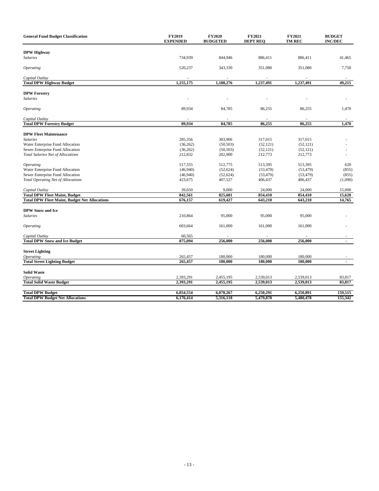| <b>General Fund Budget Classification</b>            | <b>FY2019</b><br><b>EXPENDED</b> | <b>FY2020</b><br><b>BUDGETED</b> | <b>FY2021</b><br><b>DEPT REQ</b> | FY2021<br><b>TM REC</b> | <b>BUDGET</b><br><b>INC/DEC</b> |
|------------------------------------------------------|----------------------------------|----------------------------------|----------------------------------|-------------------------|---------------------------------|
| <b>DPW Highway</b>                                   |                                  |                                  |                                  |                         |                                 |
| <b>Salaries</b>                                      | 734,939                          | 844,946                          | 886,411                          | 886,411                 | 41,465                          |
|                                                      |                                  |                                  |                                  |                         |                                 |
| <i><b>Operating</b></i>                              | 520,237                          | 343,330                          | 351,080                          | 351,080                 | 7,750                           |
| Capital Outlay                                       |                                  |                                  |                                  |                         |                                 |
| <b>Total DPW Highway Budget</b>                      | 1,255,175                        | 1,188,276                        | 1,237,491                        | 1,237,491               | 49,215                          |
| <b>DPW Forestry</b>                                  |                                  |                                  |                                  |                         |                                 |
| <b>Salaries</b>                                      |                                  |                                  |                                  |                         |                                 |
|                                                      |                                  |                                  |                                  |                         |                                 |
| Operating                                            | 89,934                           | 84,785                           | 86,255                           | 86,255                  | 1,470                           |
| Capital Outlay                                       |                                  |                                  |                                  |                         |                                 |
| <b>Total DPW Forestry Budget</b>                     | 89,934                           | 84,785                           | 86,255                           | 86,255                  | 1,470                           |
|                                                      |                                  |                                  |                                  |                         |                                 |
| <b>DPW Fleet Maintenance</b>                         |                                  |                                  |                                  |                         |                                 |
| <b>Salaries</b>                                      | 285,356                          | 303,906                          | 317,015                          | 317,015                 |                                 |
| Water Enterprise Fund Allocation                     | (36, 262)                        | (50, 503)                        | (52, 121)                        | (52, 121)               |                                 |
| Sewer Enterprise Fund Allocation                     | (36, 262)                        | (50, 503)                        | (52, 121)                        | (52, 121)               |                                 |
| <b>Total Salaries Net of Allocations</b>             | 212,832                          | 202,900                          | 212,773                          | 212,773                 |                                 |
| <i><b>Operating</b></i>                              | 517,555                          | 512,775                          | 513,395                          | 513,395                 | 620                             |
| Water Enterprise Fund Allocation                     | (46,940)                         | (52, 624)                        | (53, 479)                        | (53, 479)               | (855)                           |
| Sewer Enterprise Fund Allocation                     | (46,940)                         | (52, 624)                        | (53, 479)                        | (53, 479)               | (855)                           |
| <b>Total Operating Net of Allocations</b>            | 423,675                          | 407,527                          | 406,437                          | 406,437                 | (1,090)                         |
|                                                      |                                  |                                  |                                  |                         |                                 |
| Capital Outlay                                       | 39,650                           | 9,000                            | 24,000                           | 24,000                  | 15,000                          |
| <b>Total DPW Fleet Maint, Budget</b>                 | 842,561                          | 825,681                          | 854,410                          | 854,410                 | 15,620                          |
| <b>Total DPW Fleet Maint, Budget Net Allocations</b> | 676,157                          | 619,427                          | 643,210                          | 643,210                 | 14,765                          |
| <b>DPW Snow and Ice</b>                              |                                  |                                  |                                  |                         |                                 |
| <b>Salaries</b>                                      | 210,864                          | 95,000                           | 95,000                           | 95,000                  |                                 |
|                                                      |                                  |                                  |                                  |                         |                                 |
| <i><b>Operating</b></i>                              | 603,664                          | 161,000                          | 161,000                          | 161,000                 |                                 |
| Capital Outlay                                       | 60,565                           |                                  |                                  |                         |                                 |
| <b>Total DPW Snow and Ice Budget</b>                 | 875,094                          | 256,000                          | 256,000                          | 256,000                 | $\blacksquare$                  |
|                                                      |                                  |                                  |                                  |                         |                                 |
| <b>Street Lighting</b>                               |                                  |                                  |                                  |                         |                                 |
| <b>Operating</b>                                     | 265,457                          | 180,000                          | 180,000                          | 180,000                 |                                 |
| <b>Total Street Lighting Budget</b>                  | 265,457                          | 180,000                          | 180,000                          | 180,000                 | $\blacksquare$                  |
| <b>Solid Waste</b>                                   |                                  |                                  |                                  |                         |                                 |
| Operating                                            | 2,393,291                        | 2,455,195                        | 2,539,013                        | 2,539,013               | 83,817                          |
| <b>Total Solid Waste Budget</b>                      | 2,393,291                        | 2,455,195                        | 2,539,013                        | 2,539,013               | 83,817                          |
|                                                      |                                  |                                  |                                  |                         |                                 |
| <b>Total DPW Budget</b>                              | 6,854,554                        | 6,078,267                        | 6,250,291                        | 6,250,891               | 159,515                         |
| <b>Total DPW Budget Net Allocations</b>              | 6,176,414                        | 5,316,118                        | 5,479,878                        | 5,480,478               | 155,342                         |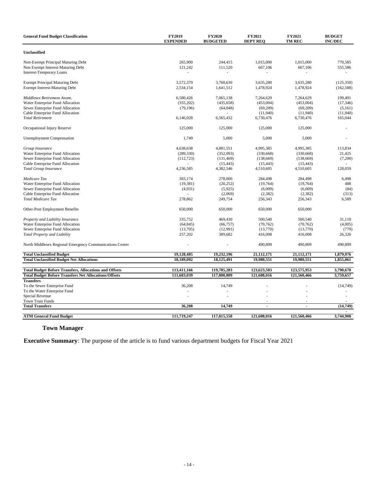| <b>General Fund Budget Classification</b>                     | <b>FY2019</b><br><b>EXPENDED</b> | <b>FY2020</b><br><b>BUDGETED</b> | FY2021<br><b>DEPT REO</b> | FY2021<br><b>TM REC</b>  | <b>BUDGET</b><br><b>INC/DEC</b> |
|---------------------------------------------------------------|----------------------------------|----------------------------------|---------------------------|--------------------------|---------------------------------|
| Unclassified                                                  |                                  |                                  |                           |                          |                                 |
| Non-Exempt Principal Maturing Debt                            | 265,900                          | 244,415                          | 1,015,000                 | 1,015,000                | 770,585                         |
| Non Exempt Interest-Maturing Debt                             | 121,242                          | 111,520                          | 667,106                   | 667,106                  | 555,586                         |
| <b>Interest-Temporary Loans</b>                               |                                  | $\overline{a}$                   | $\overline{\phantom{a}}$  |                          |                                 |
| <b>Exempt Principal Maturing Debt</b>                         | 3,572,370                        | 3,760,630                        | 3,635,280                 | 3,635,280                | (125, 350)                      |
| <b>Exempt Interest-Maturing Debt</b>                          | 2,534,154                        | 1,641,512                        | 1,478,924                 | 1,478,924                | (162, 588)                      |
| Middlesex Retirement Assmt.                                   | 6,580,426                        | 7,065,138                        | 7,264,629                 | 7,264,629                | 199,491                         |
| Water Enterprise Fund Allocation                              | (355,202)                        | (435, 658)                       | (453,004)                 | (453,004)                | (17, 346)                       |
| Sewer Enterprise Fund Allocation                              | (79, 196)                        | (64,048)                         | (69,209)                  | (69,209)                 | (5,161)                         |
| Cable Enterprise Fund Allocation                              |                                  |                                  | (11,940)                  | (11,940)                 | (11,940)                        |
| <b>Total Retirement</b>                                       | 6,146,028                        | 6,565,432                        | 6,730,476                 | 6,730,476                | 165,044                         |
| Occupational Injury Reserve                                   | 125,000                          | 125,000                          | 125,000                   | 125,000                  |                                 |
| <b>Unemployment Compensation</b>                              | 1,749                            | 5,000                            | 5,000                     | 5,000                    |                                 |
| Group Insurance                                               | 4,638,638                        | 4,881,551                        | 4,995,385                 | 4,995,385                | 113,834                         |
| Water Enterprise Fund Allocation                              | (289, 330)                       | (352,093)                        | (330, 668)                | (330, 668)               | 21.425                          |
| Sewer Enterprise Fund Allocation                              | (112, 723)                       | (131, 469)                       | (138,669)                 | (138,669)                | (7,200)                         |
| Cable Enterprise Fund Allocation                              | ä,                               | (15, 443)                        | (15, 443)                 | (15, 443)                |                                 |
| <b>Total Group Insurance</b>                                  | 4,236,585                        | 4,382,546                        | 4,510,605                 | 4,510,605                | 128,059                         |
| Medicare Tax                                                  | 303.174                          | 278,000                          | 284,498                   | 284,498                  | 6,498                           |
| Water Enterprise Fund Allocation                              | (19, 381)                        | (20, 252)                        | (19,764)                  | (19,764)                 | 488                             |
| Sewer Enterprise Fund Allocation                              | (4,931)                          | (5,925)                          | (6,009)                   | (6,009)                  | (84)                            |
| Cable Enterprise Fund Allocation                              |                                  | (2,069)                          | (2, 382)                  | (2,382)                  | (313)                           |
| <b>Total Medicare Tax</b>                                     | 278,862                          | 249,754                          | 256,343                   | 256,343                  | 6,589                           |
| Other-Post Employment Benefits                                | 650,000                          | 650,000                          | 650,000                   | 650,000                  |                                 |
| Property and Liability Insurance                              | 335,752                          | 469,430                          | 500,540                   | 500,540                  | 31,110                          |
| Water Enterprise Fund Allocation                              | (64, 845)                        | (66, 757)                        | (70, 762)                 | (70, 762)                | (4,005)                         |
| Sewer Enterprise Fund Allocation                              | (13,705)                         | (12,991)                         | (13,770)                  | (13,770)                 | (779)                           |
| Total Property and Liability                                  | 257,202                          | 389,682                          | 416,008                   | 416,008                  | 26,326                          |
| North Middlesex Regional Emergency Communications Center      |                                  | ä,                               | 490,809                   | 490,809                  | 490,809                         |
| <b>Total Unclassified Budget</b>                              | 19,128,405                       | 19,232,196                       | 21,112,171                | 21,112,171               | 1,879,976                       |
| <b>Total Unclassified Budget Net Allocations</b>              | 18,189,092                       | 18,125,491                       | 19,980,551                | 19,980,551               | 1,855,061                       |
| <b>Total Budget Before Transfers, Allocations and Offsets</b> | 113,411,166                      | 119,785,283                      | 123,623,503               | 123,575,953              | 3,790,670                       |
| <b>Total Budget Before Transfers Net Allocations/Offsets</b>  | 111,683,039                      | 117,800,809                      | 121,608,016               | 121,560,466              | 3,759,657                       |
| <b>Transfers</b>                                              |                                  |                                  |                           |                          |                                 |
| To the Sewer Enterprise Fund                                  | 36,208                           | 14,749                           |                           |                          | (14, 749)                       |
| To the Water Enterprise Fund                                  |                                  |                                  |                           |                          |                                 |
| Special Revenue                                               |                                  |                                  |                           |                          |                                 |
| <b>Town Trust Funds</b>                                       |                                  |                                  |                           |                          |                                 |
| <b>Total Transfers</b>                                        | 36,208                           | 14,749                           | $\sim$                    | $\overline{\phantom{a}}$ | (14, 749)                       |
| <b>ATM General Fund Budget</b>                                | 111,719,247                      | 117,815,558                      | 121,608,016               | 121.560.466              | 3,744,908                       |

# **Town Manager**

**Executive Summary**: The purpose of the article is to fund various department budgets for Fiscal Year 2021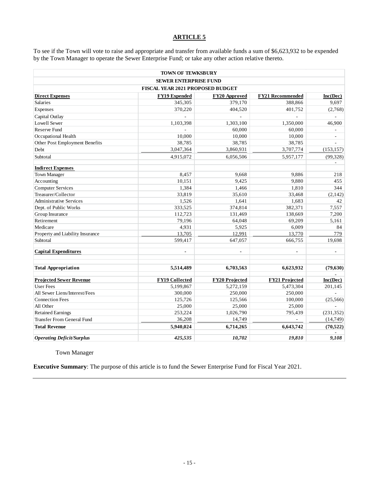To see if the Town will vote to raise and appropriate and transfer from available funds a sum of \$6,623,932 to be expended by the Town Manager to operate the Sewer Enterprise Fund; or take any other action relative thereto.

|                                  | <b>TOWN OF TEWKSBURY</b>         |                           |                         |                          |
|----------------------------------|----------------------------------|---------------------------|-------------------------|--------------------------|
|                                  | <b>SEWER ENTERPRISE FUND</b>     |                           |                         |                          |
|                                  | FISCAL YEAR 2021 PROPOSED BUDGET |                           |                         |                          |
| <b>Direct Expenses</b>           | FY19 Expended                    | FY <sub>20</sub> Approved | <b>FY21 Recommended</b> | Inc(Dec)                 |
| Salaries                         | 345,305                          | 379,170                   | 388,866                 | 9,697                    |
| Expenses                         | 370,220                          | 404,520                   | 401,752                 | (2,768)                  |
| Capital Outlay                   |                                  |                           |                         |                          |
| Lowell Sewer                     | 1,103,398                        | 1,303,100                 | 1,350,000               | 46,900                   |
| <b>Reserve Fund</b>              |                                  | 60,000                    | 60,000                  |                          |
| Occupational Health              | 10.000                           | 10,000                    | 10,000                  | $\overline{\phantom{a}}$ |
| Other Post Employment Benefits   | 38,785                           | 38,785                    | 38,785                  | ÷,                       |
| Debt                             | 3,047,364                        | 3,860,931                 | 3,707,774               | (153, 157)               |
| Subtotal                         | 4,915,072                        | 6,056,506                 | 5,957,177               | (99,328)                 |
| <b>Indirect Expenses</b>         |                                  |                           |                         |                          |
| <b>Town Manager</b>              | 8,457                            | 9,668                     | 9,886                   | 218                      |
| Accounting                       | 10,151                           | 9,425                     | 9,880                   | 455                      |
| <b>Computer Services</b>         | 1,384                            | 1,466                     | 1,810                   | 344                      |
| Treasurer/Collector              | 33,819                           | 35,610                    | 33,468                  | (2,142)                  |
| <b>Administrative Services</b>   | 1,526                            | 1,641                     | 1,683                   | 42                       |
| Dept. of Public Works            | 333,525                          | 374,814                   | 382,371                 | 7,557                    |
| Group Insurance                  | 112,723                          | 131,469                   | 138,669                 | 7,200                    |
| Retirement                       | 79,196                           | 64,048                    | 69,209                  | 5,161                    |
| Medicare                         | 4,931                            | 5,925                     | 6,009                   | 84                       |
| Property and Liability Insurance | 13,705                           | 12,991                    | 13,770                  | 779                      |
| Subtotal                         | 599,417                          | 647,057                   | 666,755                 | 19,698                   |
|                                  |                                  |                           |                         |                          |
| <b>Capital Expenditures</b>      | $\overline{\phantom{0}}$         | $\overline{\phantom{0}}$  | $\blacksquare$          | $\overline{a}$           |
| <b>Total Appropriation</b>       | 5,514,489                        | 6,703,563                 | 6,623,932               | (79, 630)                |
|                                  |                                  |                           |                         |                          |
| <b>Projected Sewer Revenue</b>   | FY19 Collected                   | FY20 Projected            | <b>FY21 Projected</b>   | Inc(Dec)                 |
| <b>User Fees</b>                 | 5,199,867                        | 5,272,159                 | 5,473,304               | 201,145                  |
| All Sewer Liens/Interest/Fees    | 300,000                          | 250,000                   | 250,000                 |                          |
| <b>Connection Fees</b>           | 125,726                          | 125,566                   | 100,000                 | (25,566)                 |
| All Other                        | 25,000                           | 25,000                    | 25,000                  |                          |
| <b>Retained Earnings</b>         | 253,224                          | 1,026,790                 | 795,439                 | (231, 352)               |
| Transfer From General Fund       | 36,208                           | 14,749                    |                         | (14, 749)                |
| <b>Total Revenue</b>             | 5,940,024                        | 6,714,265                 | 6,643,742               | (70, 522)                |
| <b>Operating Deficit/Surplus</b> | 425,535                          | 10,702                    | 19,810                  | 9,108                    |

Town Manager

**Executive Summary**: The purpose of this article is to fund the Sewer Enterprise Fund for Fiscal Year 2021.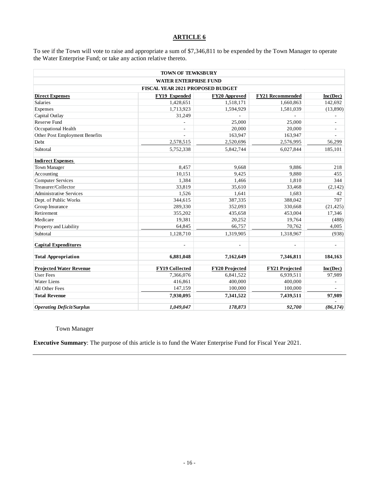To see if the Town will vote to raise and appropriate a sum of \$7,346,811 to be expended by the Town Manager to operate the Water Enterprise Fund; or take any action relative thereto.

|                                  | <b>TOWN OF TEWKSBURY</b>                |                       |                         |                          |
|----------------------------------|-----------------------------------------|-----------------------|-------------------------|--------------------------|
|                                  | <b>WATER ENTERPRISE FUND</b>            |                       |                         |                          |
|                                  | <b>FISCAL YEAR 2021 PROPOSED BUDGET</b> |                       |                         |                          |
| <b>Direct Expenses</b>           | <b>FY19 Expended</b>                    | FY20 Approved         | <b>FY21 Recommended</b> | Inc(Dec)                 |
| <b>Salaries</b>                  | 1,428,651                               | 1,518,171             | 1,660,863               | 142,692                  |
| Expenses                         | 1,713,923                               | 1,594,929             | 1,581,039               | (13,890)                 |
| Capital Outlay                   | 31,249                                  |                       |                         |                          |
| <b>Reserve Fund</b>              |                                         | 25,000                | 25,000                  |                          |
| Occupational Health              |                                         | 20,000                | 20,000                  | $\overline{\phantom{a}}$ |
| Other Post Employment Benefits   |                                         | 163,947               | 163,947                 |                          |
| Debt                             | 2,578,515                               | 2,520,696             | 2,576,995               | 56,299                   |
| Subtotal                         | 5,752,338                               | 5,842,744             | 6,027,844               | 185,101                  |
| <b>Indirect Expenses</b>         |                                         |                       |                         |                          |
| <b>Town Manager</b>              | 8,457                                   | 9,668                 | 9,886                   | 218                      |
| Accounting                       | 10,151                                  | 9.425                 | 9,880                   | 455                      |
| <b>Computer Services</b>         | 1,384                                   | 1,466                 | 1,810                   | 344                      |
| Treasurer/Collector              | 33,819                                  | 35,610                | 33,468                  | (2,142)                  |
| <b>Administrative Services</b>   | 1,526                                   | 1,641                 | 1,683                   | 42                       |
| Dept. of Public Works            | 344,615                                 | 387,335               | 388,042                 | 707                      |
| Group Insurance                  | 289,330                                 | 352,093               | 330,668                 | (21, 425)                |
| Retirement                       | 355,202                                 | 435,658               | 453,004                 | 17,346                   |
| Medicare                         | 19,381                                  | 20,252                | 19,764                  | (488)                    |
| Property and Liability           | 64,845                                  | 66,757                | 70,762                  | 4,005                    |
| Subtotal                         | 1,128,710                               | 1,319,905             | 1,318,967               | (938)                    |
| <b>Capital Expenditures</b>      |                                         |                       |                         |                          |
| <b>Total Appropriation</b>       | 6,881,048                               | 7,162,649             | 7,346,811               | 184,163                  |
| <b>Projected Water Revenue</b>   | <b>FY19 Collected</b>                   | <b>FY20 Projected</b> | <b>FY21 Projected</b>   | Inc(Dec)                 |
| <b>User Fees</b>                 | 7,366,076                               | 6,841,522             | 6,939,511               | 97,989                   |
| <b>Water Liens</b>               | 416,861                                 | 400,000               | 400,000                 |                          |
| All Other Fees                   | 147,159                                 | 100,000               | 100,000                 |                          |
| <b>Total Revenue</b>             | 7,930,095                               | 7,341,522             | 7,439,511               | 97,989                   |
| <b>Operating Deficit/Surplus</b> | 1.049.047                               | 178,873               | 92,700                  | (86, 174)                |

Town Manager

**Executive Summary**: The purpose of this article is to fund the Water Enterprise Fund for Fiscal Year 2021.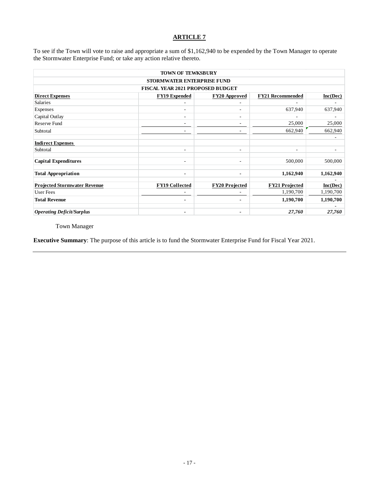To see if the Town will vote to raise and appropriate a sum of \$1,162,940 to be expended by the Town Manager to operate the Stormwater Enterprise Fund; or take any action relative thereto.

|                                     | <b>TOWN OF TEWKSBURY</b>                |                          |                         |           |
|-------------------------------------|-----------------------------------------|--------------------------|-------------------------|-----------|
|                                     | <b>STORMWATER ENTERPRISE FUND</b>       |                          |                         |           |
|                                     | <b>FISCAL YEAR 2021 PROPOSED BUDGET</b> |                          |                         |           |
| <b>Direct Expenses</b>              | <b>FY19 Expended</b>                    | <b>FY20 Approved</b>     | <b>FY21 Recommended</b> | Inc(Dec)  |
| <b>Salaries</b>                     | ٠                                       |                          |                         |           |
| Expenses                            | $\overline{\phantom{a}}$                | ۰                        | 637,940                 | 637,940   |
| Capital Outlay                      | $\overline{\phantom{a}}$                | ۰                        | ۰                       |           |
| Reserve Fund                        | ۰                                       | ٠                        | 25,000                  | 25,000    |
| Subtotal                            | ۰                                       | ۰                        | 662,940                 | 662,940   |
| <b>Indirect Expenses</b>            |                                         |                          |                         |           |
| Subtotal                            | ٠                                       | ۰                        | ٠                       |           |
| <b>Capital Expenditures</b>         | ٠                                       | ۰                        | 500,000                 | 500,000   |
| <b>Total Appropriation</b>          | ٠                                       | $\overline{\phantom{0}}$ | 1,162,940               | 1,162,940 |
| <b>Projected Stormwater Revenue</b> | <b>FY19 Collected</b>                   | <b>FY20 Projected</b>    | <b>FY21 Projected</b>   | Inc(Dec)  |
| User Fees                           |                                         |                          | 1,190,700               | 1,190,700 |
| <b>Total Revenue</b>                | $\blacksquare$                          | $\blacksquare$           | 1,190,700               | 1,190,700 |
| <b>Operating Deficit/Surplus</b>    | $\blacksquare$                          | $\overline{\phantom{0}}$ | 27,760                  | 27,760    |

Town Manager

**Executive Summary**: The purpose of this article is to fund the Stormwater Enterprise Fund for Fiscal Year 2021.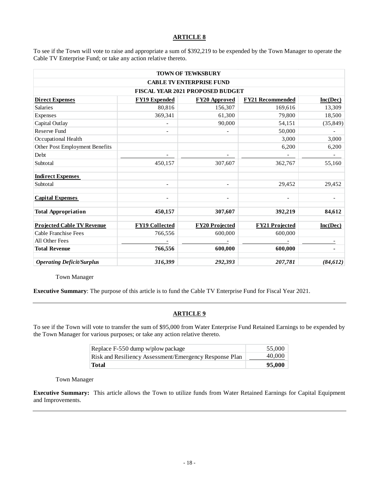To see if the Town will vote to raise and appropriate a sum of \$392,219 to be expended by the Town Manager to operate the Cable TV Enterprise Fund; or take any action relative thereto.

|                                   |                          | <b>TOWN OF TEWKSBURY</b>         |                          |                          |
|-----------------------------------|--------------------------|----------------------------------|--------------------------|--------------------------|
|                                   |                          | <b>CABLE TV ENTERPRISE FUND</b>  |                          |                          |
|                                   |                          | FISCAL YEAR 2021 PROPOSED BUDGET |                          |                          |
| <b>Direct Expenses</b>            | <b>FY19 Expended</b>     | <b>FY20 Approved</b>             | <b>FY21 Recommended</b>  | Inc(Dec)                 |
| <b>Salaries</b>                   | 80,816                   | 156,307                          | 169,616                  | 13,309                   |
| Expenses                          | 369,341                  | 61,300                           | 79,800                   | 18,500                   |
| Capital Outlay                    | $\overline{\phantom{a}}$ | 90.000                           | 54,151                   | (35, 849)                |
| <b>Reserve Fund</b>               | $\overline{\phantom{a}}$ |                                  | 50,000                   |                          |
| Occupational Health               |                          |                                  | 3,000                    | 3,000                    |
| Other Post Employment Benefits    |                          |                                  | 6,200                    | 6,200                    |
| Debt                              | $\overline{\phantom{a}}$ |                                  | $\overline{\phantom{a}}$ | $\overline{\phantom{a}}$ |
| Subtotal                          | 450,157                  | 307,607                          | 362,767                  | 55,160                   |
| <b>Indirect Expenses</b>          |                          |                                  |                          |                          |
| Subtotal                          | $\overline{\phantom{a}}$ |                                  | 29,452                   | 29,452                   |
| <b>Capital Expenses</b>           |                          |                                  |                          |                          |
| <b>Total Appropriation</b>        | 450,157                  | 307,607                          | 392,219                  | 84,612                   |
| <b>Projected Cable TV Revenue</b> | <b>FY19 Collected</b>    | <b>FY20 Projected</b>            | <b>FY21 Projected</b>    | Inc(Dec)                 |
| Cable Franchise Fees              | 766,556                  | 600,000                          | 600,000                  |                          |
| All Other Fees                    |                          |                                  |                          |                          |
| <b>Total Revenue</b>              | 766,556                  | 600,000                          | 600,000                  |                          |
| <b>Operating Deficit/Surplus</b>  | 316,399                  | 292,393                          | 207,781                  | (84, 612)                |

Town Manager

**Executive Summary**: The purpose of this article is to fund the Cable TV Enterprise Fund for Fiscal Year 2021.

# **ARTICLE 9**

To see if the Town will vote to transfer the sum of \$95,000 from Water Enterprise Fund Retained Earnings to be expended by the Town Manager for various purposes; or take any action relative thereto.

| Replace F-550 dump w/plow package                      | 55,000 |
|--------------------------------------------------------|--------|
| Risk and Resiliency Assessment/Emergency Response Plan | 40,000 |
| <b>Total</b>                                           | 95,000 |

Town Manager

**Executive Summary:** This article allows the Town to utilize funds from Water Retained Earnings for Capital Equipment and Improvements.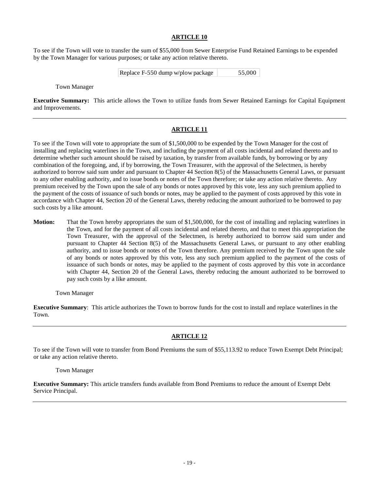To see if the Town will vote to transfer the sum of \$55,000 from Sewer Enterprise Fund Retained Earnings to be expended by the Town Manager for various purposes; or take any action relative thereto.

| Replace F-550 dump w/plow package | 55,000 |
|-----------------------------------|--------|
|-----------------------------------|--------|

Town Manager

**Executive Summary:** This article allows the Town to utilize funds from Sewer Retained Earnings for Capital Equipment and Improvements.

# **ARTICLE 11**

To see if the Town will vote to appropriate the sum of \$1,500,000 to be expended by the Town Manager for the cost of installing and replacing waterlines in the Town, and including the payment of all costs incidental and related thereto and to determine whether such amount should be raised by taxation, by transfer from available funds, by borrowing or by any combination of the foregoing, and, if by borrowing, the Town Treasurer, with the approval of the Selectmen, is hereby authorized to borrow said sum under and pursuant to Chapter 44 Section 8(5) of the Massachusetts General Laws, or pursuant to any other enabling authority, and to issue bonds or notes of the Town therefore; or take any action relative thereto. Any premium received by the Town upon the sale of any bonds or notes approved by this vote, less any such premium applied to the payment of the costs of issuance of such bonds or notes, may be applied to the payment of costs approved by this vote in accordance with Chapter 44, Section 20 of the General Laws, thereby reducing the amount authorized to be borrowed to pay such costs by a like amount.

**Motion:** That the Town hereby appropriates the sum of \$1,500,000, for the cost of installing and replacing waterlines in the Town, and for the payment of all costs incidental and related thereto, and that to meet this appropriation the Town Treasurer, with the approval of the Selectmen, is hereby authorized to borrow said sum under and pursuant to Chapter 44 Section 8(5) of the Massachusetts General Laws, or pursuant to any other enabling authority, and to issue bonds or notes of the Town therefore. Any premium received by the Town upon the sale of any bonds or notes approved by this vote, less any such premium applied to the payment of the costs of issuance of such bonds or notes, may be applied to the payment of costs approved by this vote in accordance with Chapter 44, Section 20 of the General Laws, thereby reducing the amount authorized to be borrowed to pay such costs by a like amount.

#### Town Manager

**Executive Summary**: This article authorizes the Town to borrow funds for the cost to install and replace waterlines in the Town.

# **ARTICLE 12**

To see if the Town will vote to transfer from Bond Premiums the sum of \$55,113.92 to reduce Town Exempt Debt Principal; or take any action relative thereto.

Town Manager

**Executive Summary:** This article transfers funds available from Bond Premiums to reduce the amount of Exempt Debt Service Principal.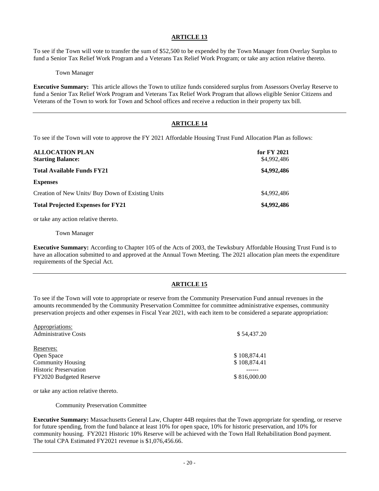To see if the Town will vote to transfer the sum of \$52,500 to be expended by the Town Manager from Overlay Surplus to fund a Senior Tax Relief Work Program and a Veterans Tax Relief Work Program; or take any action relative thereto.

Town Manager

**Executive Summary:** This article allows the Town to utilize funds considered surplus from Assessors Overlay Reserve to fund a Senior Tax Relief Work Program and Veterans Tax Relief Work Program that allows eligible Senior Citizens and Veterans of the Town to work for Town and School offices and receive a reduction in their property tax bill.

# **ARTICLE 14**

To see if the Town will vote to approve the FY 2021 Affordable Housing Trust Fund Allocation Plan as follows:

| <b>ALLOCATION PLAN</b><br><b>Starting Balance:</b> | for FY 2021<br>\$4,992,486 |
|----------------------------------------------------|----------------------------|
| <b>Total Available Funds FY21</b>                  | \$4,992,486                |
| <b>Expenses</b>                                    |                            |
| Creation of New Units/ Buy Down of Existing Units  | \$4,992,486                |
| <b>Total Projected Expenses for FY21</b>           | \$4,992,486                |

or take any action relative thereto.

Town Manager

**Executive Summary:** According to Chapter 105 of the Acts of 2003, the Tewksbury Affordable Housing Trust Fund is to have an allocation submitted to and approved at the Annual Town Meeting. The 2021 allocation plan meets the expenditure requirements of the Special Act.

# **ARTICLE 15**

To see if the Town will vote to appropriate or reserve from the Community Preservation Fund annual revenues in the amounts recommended by the Community Preservation Committee for committee administrative expenses, community preservation projects and other expenses in Fiscal Year 2021, with each item to be considered a separate appropriation:

| Appropriations:              |              |
|------------------------------|--------------|
| <b>Administrative Costs</b>  | \$54,437.20  |
| Reserves:                    |              |
| Open Space                   | \$108,874.41 |
| <b>Community Housing</b>     | \$108,874.41 |
| <b>Historic Preservation</b> |              |
| FY2020 Budgeted Reserve      | \$816,000.00 |
|                              |              |

or take any action relative thereto.

Community Preservation Committee

**Executive Summary:** Massachusetts General Law, Chapter 44B requires that the Town appropriate for spending, or reserve for future spending, from the fund balance at least 10% for open space, 10% for historic preservation, and 10% for community housing. FY2021 Historic 10% Reserve will be achieved with the Town Hall Rehabilitation Bond payment. The total CPA Estimated FY2021 revenue is \$1,076,456.66.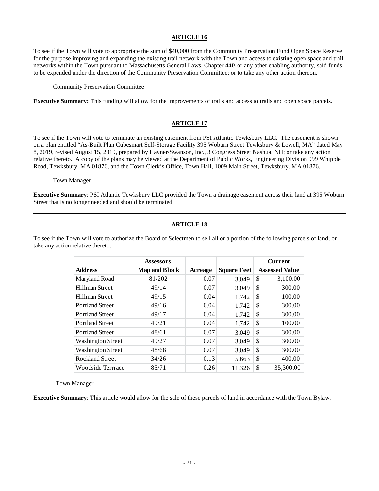To see if the Town will vote to appropriate the sum of \$40,000 from the Community Preservation Fund Open Space Reserve for the purpose improving and expanding the existing trail network with the Town and access to existing open space and trail networks within the Town pursuant to Massachusetts General Laws, Chapter 44B or any other enabling authority, said funds to be expended under the direction of the Community Preservation Committee; or to take any other action thereon.

Community Preservation Committee

**Executive Summary:** This funding will allow for the improvements of trails and access to trails and open space parcels.

# **ARTICLE 17**

To see if the Town will vote to terminate an existing easement from PSI Atlantic Tewksbury LLC. The easement is shown on a plan entitled "As-Built Plan Cubesmart Self-Storage Facility 395 Woburn Street Tewksbury & Lowell, MA" dated May 8, 2019, revised August 15, 2019, prepared by Hayner/Swanson, Inc., 3 Congress Street Nashua, NH; or take any action relative thereto. A copy of the plans may be viewed at the Department of Public Works, Engineering Division 999 Whipple Road, Tewksbury, MA 01876, and the Town Clerk's Office, Town Hall, 1009 Main Street, Tewksbury, MA 01876.

Town Manager

**Executive Summary**: PSI Atlantic Tewksbury LLC provided the Town a drainage easement across their land at 395 Woburn Street that is no longer needed and should be terminated.

# **ARTICLE 18**

To see if the Town will vote to authorize the Board of Selectmen to sell all or a portion of the following parcels of land; or take any action relative thereto.

|                          | <b>Assessors</b>     |         |                    | <b>Current</b>        |
|--------------------------|----------------------|---------|--------------------|-----------------------|
| <b>Address</b>           | <b>Map and Block</b> | Acreage | <b>Square Feet</b> | <b>Assessed Value</b> |
| Maryland Road            | 81/202               | 0.07    | 3,049              | \$<br>3,100.00        |
| <b>Hillman Street</b>    | 49/14                | 0.07    | 3,049              | \$<br>300.00          |
| Hillman Street           | 49/15                | 0.04    | 1,742              | \$<br>100.00          |
| <b>Portland Street</b>   | 49/16                | 0.04    | 1,742              | \$<br>300.00          |
| <b>Portland Street</b>   | 49/17                | 0.04    | 1,742              | \$<br>300.00          |
| <b>Portland Street</b>   | 49/21                | 0.04    | 1,742              | \$<br>100.00          |
| <b>Portland Street</b>   | 48/61                | 0.07    | 3.049              | \$<br>300.00          |
| <b>Washington Street</b> | 49/27                | 0.07    | 3,049              | \$<br>300.00          |
| <b>Washington Street</b> | 48/68                | 0.07    | 3,049              | \$<br>300.00          |
| <b>Rockland Street</b>   | 34/26                | 0.13    | 5,663              | \$<br>400.00          |
| Woodside Terrrace        | 85/71                | 0.26    | 11,326             | \$<br>35,300.00       |

Town Manager

**Executive Summary**: This article would allow for the sale of these parcels of land in accordance with the Town Bylaw.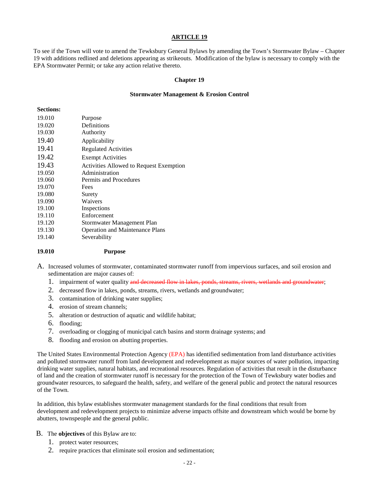To see if the Town will vote to amend the Tewksbury General Bylaws by amending the Town's Stormwater Bylaw – Chapter 19 with additions redlined and deletions appearing as strikeouts. Modification of the bylaw is necessary to comply with the EPA Stormwater Permit; or take any action relative thereto.

#### **Chapter 19**

#### **Stormwater Management & Erosion Control**

#### **Sections:**

| 19.010 | Purpose                                 |
|--------|-----------------------------------------|
| 19.020 | Definitions                             |
| 19.030 | Authority                               |
| 19.40  | Applicability                           |
| 19.41  | <b>Regulated Activities</b>             |
| 19.42  | <b>Exempt Activities</b>                |
| 19.43  | Activities Allowed to Request Exemption |
| 19.050 | Administration                          |
| 19.060 | Permits and Procedures                  |
| 19.070 | Fees                                    |
| 19.080 | Surety                                  |
| 19.090 | Waivers                                 |
| 19.100 | Inspections                             |
| 19.110 | Enforcement                             |
| 19.120 | Stormwater Management Plan              |
| 19.130 | <b>Operation and Maintenance Plans</b>  |
| 19.140 | Severability                            |
|        |                                         |

#### **19.010 Purpose**

- A. Increased volumes of stormwater, contaminated stormwater runoff from impervious surfaces, and soil erosion and sedimentation are major causes of:
	- 1. impairment of water quality and decreased flow in lakes, ponds, streams, rivers, wetlands and groundwater;
	- 2. decreased flow in lakes, ponds, streams, rivers, wetlands and groundwater;
	- 3. contamination of drinking water supplies;
	- 4. erosion of stream channels;
	- 5. alteration or destruction of aquatic and wildlife habitat;
	- 6. flooding;
	- 7. overloading or clogging of municipal catch basins and storm drainage systems; and
	- 8. flooding and erosion on abutting properties.

The United States Environmental Protection Agency (EPA) has identified sedimentation from land disturbance activities and polluted stormwater runoff from land development and redevelopment as major sources of water pollution, impacting drinking water supplies, natural habitats, and recreational resources. Regulation of activities that result in the disturbance of land and the creation of stormwater runoff is necessary for the protection of the Town of Tewksbury water bodies and groundwater resources, to safeguard the health, safety, and welfare of the general public and protect the natural resources of the Town.

In addition, this bylaw establishes stormwater management standards for the final conditions that result from development and redevelopment projects to minimize adverse impacts offsite and downstream which would be borne by abutters, townspeople and the general public.

#### B. The **objectives** of this Bylaw are to:

- 1. protect water resources;
- 2. require practices that eliminate soil erosion and sedimentation;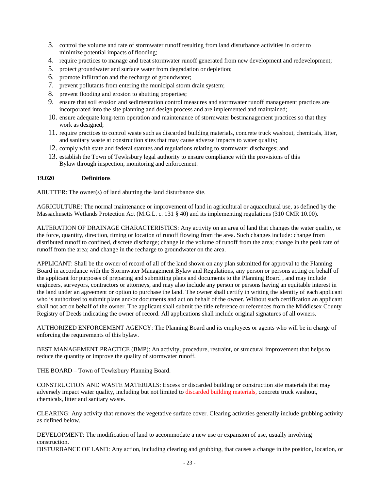- 3. control the volume and rate of stormwater runoff resulting from land disturbance activities in order to minimize potential impacts of flooding;
- 4. require practices to manage and treat stormwater runoff generated from new development and redevelopment;
- 5. protect groundwater and surface water from degradation or depletion;
- 6. promote infiltration and the recharge of groundwater;
- 7. prevent pollutants from entering the municipal storm drain system;
- 8. prevent flooding and erosion to abutting properties;
- 9. ensure that soil erosion and sedimentation control measures and stormwater runoff management practices are incorporated into the site planning and design process and are implemented and maintained;
- 10. ensure adequate long-term operation and maintenance of stormwater bestmanagement practices so that they work as designed;
- 11. require practices to control waste such as discarded building materials, concrete truck washout, chemicals, litter, and sanitary waste at construction sites that may cause adverse impacts to water quality;
- 12. comply with state and federal statutes and regulations relating to stormwater discharges; and
- 13. establish the Town of Tewksbury legal authority to ensure compliance with the provisions of this Bylaw through inspection, monitoring and enforcement.

# **19.020 Definitions**

ABUTTER: The owner(s) of land abutting the land disturbance site.

AGRICULTURE: The normal maintenance or improvement of land in agricultural or aquacultural use, as defined by the Massachusetts Wetlands Protection Act (M.G.L. c. 131 § 40) and its implementing regulations (310 CMR 10.00).

ALTERATION OF DRAINAGE CHARACTERISTICS: Any activity on an area of land that changes the water quality, or the force, quantity, direction, timing or location of runoff flowing from the area. Such changes include: change from distributed runoff to confined, discrete discharge; change in the volume of runoff from the area; change in the peak rate of runoff from the area; and change in the recharge to groundwater on the area.

APPLICANT: Shall be the owner of record of all of the land shown on any plan submitted for approval to the Planning Board in accordance with the Stormwater Management Bylaw and Regulations, any person or persons acting on behalf of the applicant for purposes of preparing and submitting plans and documents to the Planning Board , and may include engineers, surveyors, contractors or attorneys, and may also include any person or persons having an equitable interest in the land under an agreement or option to purchase the land. The owner shall certify in writing the identity of each applicant who is authorized to submit plans and/or documents and act on behalf of the owner. Without such certification an applicant shall not act on behalf of the owner. The applicant shall submit the title reference or references from the Middlesex County Registry of Deeds indicating the owner of record. All applications shall include original signatures of all owners.

AUTHORIZED ENFORCEMENT AGENCY: The Planning Board and its employees or agents who will be in charge of enforcing the requirements of this bylaw.

BEST MANAGEMENT PRACTICE (BMP): An activity, procedure, restraint, or structural improvement that helps to reduce the quantity or improve the quality of stormwater runoff.

THE BOARD – Town of Tewksbury Planning Board.

CONSTRUCTION AND WASTE MATERIALS: Excess or discarded building or construction site materials that may adversely impact water quality, including but not limited to discarded building materials, concrete truck washout, chemicals, litter and sanitary waste.

CLEARING: Any activity that removes the vegetative surface cover. Clearing activities generally include grubbing activity as defined below.

DEVELOPMENT: The modification of land to accommodate a new use or expansion of use, usually involving construction.

DISTURBANCE OF LAND: Any action, including clearing and grubbing, that causes a change in the position, location, or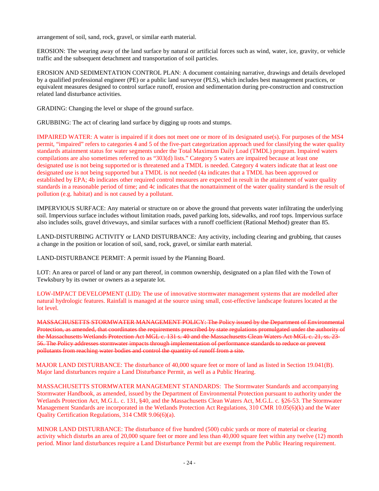arrangement of soil, sand, rock, gravel, or similar earth material.

EROSION: The wearing away of the land surface by natural or artificial forces such as wind, water, ice, gravity, or vehicle traffic and the subsequent detachment and transportation of soil particles.

EROSION AND SEDIMENTATION CONTROL PLAN: A document containing narrative, drawings and details developed by a qualified professional engineer (PE) or a public land surveyor (PLS), which includes best management practices, or equivalent measures designed to control surface runoff, erosion and sedimentation during pre-construction and construction related land disturbance activities.

GRADING: Changing the level or shape of the ground surface.

GRUBBING: The act of clearing land surface by digging up roots and stumps.

IMPAIRED WATER: A water is impaired if it does not meet one or more of its designated use(s). For purposes of the MS4 permit, "impaired" refers to categories 4 and 5 of the five-part categorization approach used for classifying the water quality standards attainment status for water segments under the Total Maximum Daily Load (TMDL) program. Impaired waters compilations are also sometimes referred to as "303(d) lists." Category 5 waters are impaired because at least one designated use is not being supported or is threatened and a TMDL is needed. Category 4 waters indicate that at least one designated use is not being supported but a TMDL is not needed (4a indicates that a TMDL has been approved or established by EPA; 4b indicates other required control measures are expected in result in the attainment of water quality standards in a reasonable period of time; and 4c indicates that the nonattainment of the water quality standard is the result of pollution (e.g. habitat) and is not caused by a pollutant.

IMPERVIOUS SURFACE: Any material or structure on or above the ground that prevents water infiltrating the underlying soil. Impervious surface includes without limitation roads, paved parking lots, sidewalks, and roof tops. Impervious surface also includes soils, gravel driveways, and similar surfaces with a runoff coefficient (Rational Method) greater than 85.

LAND-DISTURBING ACTIVITY or LAND DISTURBANCE: Any activity, including clearing and grubbing, that causes a change in the position or location of soil, sand, rock, gravel, or similar earth material.

LAND-DISTURBANCE PERMIT: A permit issued by the Planning Board.

LOT: An area or parcel of land or any part thereof, in common ownership, designated on a plan filed with the Town of Tewksbury by its owner or owners as a separate lot.

LOW-IMPACT DEVELOPMENT (LID): The use of innovative stormwater management systems that are modelled after natural hydrologic features. Rainfall is managed at the source using small, cost-effective landscape features located at the lot level.

MASSACHUSETTS STORMWATER MANAGEMENT POLICY: The Policy issued by the Department of Environmental Protection, as amended, that coordinates the requirements prescribed by state regulations promulgated under the authority of the Massachusetts Wetlands Protection Act MGL c. 131 s. 40 and the Massachusetts Clean Waters Act MGL c. 21, ss. 23-56. The Policy addresses stormwater impacts through implementation of performance standards to reduce or prevent pollutants from reaching water bodies and control the quantity of runoff from a site.

MAJOR LAND DISTURBANCE: The disturbance of 40,000 square feet or more of land as listed in Section 19.041(B). Major land disturbances require a Land Disturbance Permit, as well as a Public Hearing.

MASSACHUSETTS STORMWATER MANAGEMENT STANDARDS: The Stormwater Standards and accompanying Stormwater Handbook, as amended, issued by the Department of Environmental Protection pursuant to authority under the Wetlands Protection Act, M.G.L. c. 131, §40, and the Massachusetts Clean Waters Act, M.G.L. c. §26-53. The Stormwater Management Standards are incorporated in the Wetlands Protection Act Regulations, 310 CMR 10.05(6)(k) and the Water Quality Certification Regulations, 314 CMR 9.06(6)(a).

MINOR LAND DISTURBANCE: The disturbance of five hundred (500) cubic yards or more of material or clearing activity which disturbs an area of 20,000 square feet or more and less than 40,000 square feet within any twelve (12) month period. Minor land disturbances require a Land Disturbance Permit but are exempt from the Public Hearing requirement.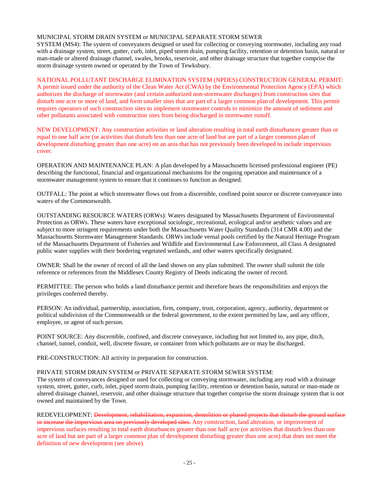### MUNICIPAL STORM DRAIN SYSTEM or MUNICIPAL SEPARATE STORM SEWER

SYSTEM (MS4): The system of conveyances designed or used for collecting or conveying stormwater, including any road with a drainage system, street, gutter, curb, inlet, piped storm drain, pumping facility, retention or detention basin, natural or man-made or altered drainage channel, swales, brooks, reservoir, and other drainage structure that together comprise the storm drainage system owned or operated by the Town of Tewksbury.

### NATIONAL POLLUTANT DISCHARGE ELIMINATION SYSTEM (NPDES) CONSTRUCTION GENERAL PERMIT:

A permit issued under the authority of the Clean Water Act (CWA) by the Environmental Protection Agency (EPA) which authorizes the discharge of stormwater (and certain authorized non-stormwater discharges) from construction sites that disturb one acre or more of land, and form smaller sites that are part of a larger common plan of development. This permit requires operators of such construction sites to implement stormwater controls to minimize the amount of sediment and other pollutants associated with construction sites from being discharged in stormwater runoff.

NEW DEVELOPMENT: Any construction activities or land alteration resulting in total earth disturbances greater than or equal to one half acre (or activities that disturb less than one acre of land but are part of a larger common plan of development disturbing greater than one acre) on an area that has not previously been developed to include impervious cover.

OPERATION AND MAINTENANCE PLAN: A plan developed by a Massachusetts licensed professional engineer (PE) describing the functional, financial and organizational mechanisms for the ongoing operation and maintenance of a stormwater management system to ensure that it continues to function as designed.

OUTFALL: The point at which stormwater flows out from a discernible, confined point source or discrete conveyance into waters of the Commonwealth.

OUTSTANDING RESOURCE WATERS (ORWs): Waters designated by Massachusetts Department of Environmental Protection as ORWs. These waters have exceptional sociologic, recreational, ecological and/or aesthetic values and are subject to more stringent requirements under both the Massachusetts Water Quality Standards (314 CMR 4.00) and the Massachusetts Stormwater Management Standards. ORWs include vernal pools certified by the Natural Heritage Program of the Massachusetts Department of Fisheries and Wildlife and Environmental Law Enforcement, all Class A designated public water supplies with their bordering vegetated wetlands, and other waters specifically designated.

OWNER: Shall be the owner of record of all the land shown on any plan submitted. The owner shall submit the title reference or references from the Middlesex County Registry of Deeds indicating the owner of record.

PERMITTEE: The person who holds a land disturbance permit and therefore bears the responsibilities and enjoys the privileges conferred thereby.

PERSON: An individual, partnership, association, firm, company, trust, corporation, agency, authority, department or political subdivision of the Commonwealth or the federal government, to the extent permitted by law, and any officer, employee, or agent of such person.

POINT SOURCE: Any discernible, confined, and discrete conveyance, including but not limited to, any pipe, ditch, channel, tunnel, conduit, well, discrete fissure, or container from which pollutants are or may be discharged.

PRE-CONSTRUCTION: All activity in preparation for construction.

# PRIVATE STORM DRAIN SYSTEM or PRIVATE SEPARATE STORM SEWER SYSTEM:

The system of conveyances designed or used for collecting or conveying stormwater, including any road with a drainage system, street, gutter, curb, inlet, piped storm drain, pumping facility, retention or detention basin, natural or man-made or altered drainage channel, reservoir, and other drainage structure that together comprise the storm drainage system that is not owned and maintained by the Town.

REDEVELOPMENT: Development, rehabilitation, expansion, demolition or phased projects that disturb the ground surface or increase the impervious area on previously developed sites. Any construction, land alteration, or improvement of impervious surfaces resulting in total earth disturbances greater than one half acre (or activities that disturb less than one acre of land but are part of a larger common plan of development disturbing greater than one acre) that does not meet the definition of new development (see above).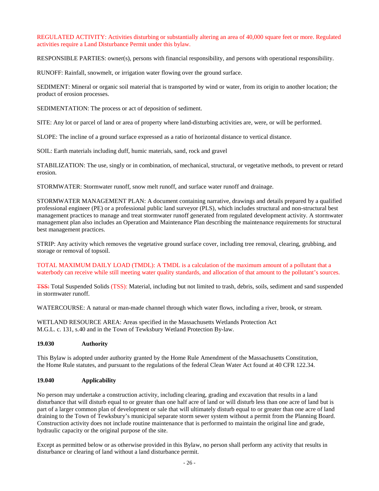REGULATED ACTIVITY: Activities disturbing or substantially altering an area of 40,000 square feet or more. Regulated activities require a Land Disturbance Permit under this bylaw.

RESPONSIBLE PARTIES: owner(s), persons with financial responsibility, and persons with operational responsibility.

RUNOFF: Rainfall, snowmelt, or irrigation water flowing over the ground surface.

SEDIMENT: Mineral or organic soil material that is transported by wind or water, from its origin to another location; the product of erosion processes.

SEDIMENTATION: The process or act of deposition of sediment.

SITE: Any lot or parcel of land or area of property where land-disturbing activities are, were, or will be performed.

SLOPE: The incline of a ground surface expressed as a ratio of horizontal distance to vertical distance.

SOIL: Earth materials including duff, humic materials, sand, rock and gravel

STABILIZATION: The use, singly or in combination, of mechanical, structural, or vegetative methods, to prevent or retard erosion.

STORMWATER: Stormwater runoff, snow melt runoff, and surface water runoff and drainage.

STORMWATER MANAGEMENT PLAN: A document containing narrative, drawings and details prepared by a qualified professional engineer (PE) or a professional public land surveyor (PLS), which includes structural and non-structural best management practices to manage and treat stormwater runoff generated from regulated development activity. A stormwater management plan also includes an Operation and Maintenance Plan describing the maintenance requirements for structural best management practices.

STRIP: Any activity which removes the vegetative ground surface cover, including tree removal, clearing, grubbing, and storage or removal of topsoil.

TOTAL MAXIMUM DAILY LOAD (TMDL): A TMDL is a calculation of the maximum amount of a pollutant that a waterbody can receive while still meeting water quality standards, and allocation of that amount to the pollutant's sources.

TSS: Total Suspended Solids (TSS): Material, including but not limited to trash, debris, soils, sediment and sand suspended in stormwater runoff.

WATERCOURSE: A natural or man-made channel through which water flows, including a river, brook, or stream.

WETLAND RESOURCE AREA: Areas specified in the Massachusetts Wetlands Protection Act M.G.L. c. 131, s.40 and in the Town of Tewksbury Wetland Protection By-law.

# **19.030 Authority**

This Bylaw is adopted under authority granted by the Home Rule Amendment of the Massachusetts Constitution, the Home Rule statutes, and pursuant to the regulations of the federal Clean Water Act found at 40 CFR 122.34.

# **19.040 Applicability**

No person may undertake a construction activity, including clearing, grading and excavation that results in a land disturbance that will disturb equal to or greater than one half acre of land or will disturb less than one acre of land but is part of a larger common plan of development or sale that will ultimately disturb equal to or greater than one acre of land draining to the Town of Tewksbury's municipal separate storm sewer system without a permit from the Planning Board. Construction activity does not include routine maintenance that is performed to maintain the original line and grade, hydraulic capacity or the original purpose of the site.

Except as permitted below or as otherwise provided in this Bylaw, no person shall perform any activity that results in disturbance or clearing of land without a land disturbance permit.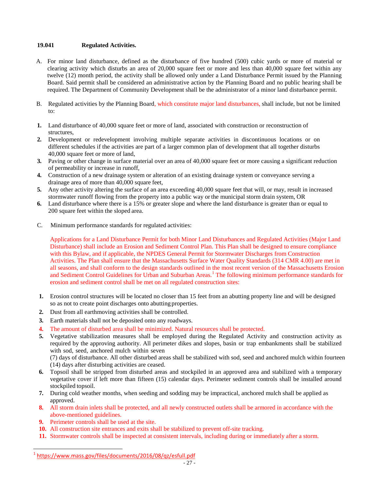# **19.041 Regulated Activities.**

- A. For minor land disturbance, defined as the disturbance of five hundred (500) cubic yards or more of material or clearing activity which disturbs an area of 20,000 square feet or more and less than 40,000 square feet within any twelve (12) month period, the activity shall be allowed only under a Land Disturbance Permit issued by the Planning Board. Said permit shall be considered an administrative action by the Planning Board and no public hearing shall be required. The Department of Community Development shall be the administrator of a minor land disturbance permit.
- B. Regulated activities by the Planning Board, which constitute major land disturbances, shall include, but not be limited to:
- **1.** Land disturbance of 40,000 square feet or more of land, associated with construction or reconstruction of structures,
- **2.** Development or redevelopment involving multiple separate activities in discontinuous locations or on different schedules if the activities are part of a larger common plan of development that all together disturbs 40,000 square feet or more of land,
- **3.** Paving or other change in surface material over an area of 40,000 square feet or more causing a significant reduction of permeability or increase in runoff,
- **4.** Construction of a new drainage system or alteration of an existing drainage system or conveyance serving a drainage area of more than 40,000 square feet,
- **5.** Any other activity altering the surface of an area exceeding 40,000 square feet that will, or may, result in increased stormwater runoff flowing from the property into a public way or the municipal storm drain system, OR
- **6.** Land disturbance where there is a 15% or greater slope and where the land disturbance is greater than or equal to 200 square feet within the sloped area.
- C. Minimum performance standards for regulated activities:

Applications for a Land Disturbance Permit for both Minor Land Disturbances and Regulated Activities (Major Land Disturbance) shall include an Erosion and Sediment Control Plan. This Plan shall be designed to ensure compliance with this Bylaw, and if applicable, the NPDES General Permit for Stormwater Discharges from Construction Activities. The Plan shall ensure that the Massachusetts Surface Water Quality Standards (314 CMR 4.00) are met in all seasons, and shall conform to the design standards outlined in the most recent version of the Massachusetts Erosion and Sediment Control Guidelines for Urban and Suburban Areas.<sup>[1](#page-26-0)</sup> The following minimum performance standards for erosion and sediment control shall be met on all regulated construction sites:

- **1.** Erosion control structures will be located no closer than 15 feet from an abutting property line and will be designed so as not to create point discharges onto abutting properties.
- **2.** Dust from all earthmoving activities shall be controlled.
- **3.** Earth materials shall not be deposited onto any roadways.
- **4.** The amount of disturbed area shall be minimized. Natural resources shall be protected.
- **5.** Vegetative stabilization measures shall be employed during the Regulated Activity and construction activity as required by the approving authority. All perimeter dikes and slopes, basin or trap embankments shall be stabilized with sod, seed, anchored mulch within seven

(7) days of disturbance. All other disturbed areas shall be stabilized with sod, seed and anchored mulch within fourteen (14) days after disturbing activities are ceased.

- **6.** Topsoil shall be stripped from disturbed areas and stockpiled in an approved area and stabilized with a temporary vegetative cover if left more than fifteen (15) calendar days. Perimeter sediment controls shall be installed around stockpiled topsoil.
- **7.** During cold weather months, when seeding and sodding may be impractical, anchored mulch shall be applied as approved.
- **8.** All storm drain inlets shall be protected, and all newly constructed outlets shall be armored in accordance with the above-mentioned guidelines.
- **9.** Perimeter controls shall be used at the site.
- **10.** All construction site entrances and exits shall be stabilized to prevent off-site tracking.
- **11.** Stormwater controls shall be inspected at consistent intervals, including during or immediately after a storm.

<span id="page-26-0"></span><sup>1</sup> <https://www.mass.gov/files/documents/2016/08/qz/esfull.pdf>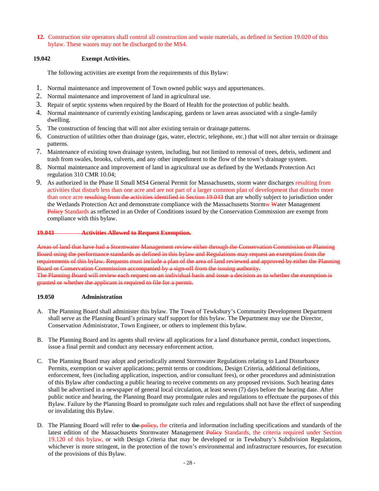**12.** Construction site operators shall control all construction and waste materials, as defined in Section 19.020 of this bylaw. These wastes may not be discharged to the MS4.

# **19.042 Exempt Activities.**

The following activities are exempt from the requirements of this Bylaw:

- 1. Normal maintenance and improvement of Town owned public ways and appurtenances.
- 2. Normal maintenance and improvement of land in agricultural use.
- 3. Repair of septic systems when required by the Board of Health for the protection of public health.
- 4. Normal maintenance of currently existing landscaping, gardens or lawn areas associated with a single-family dwelling.
- 5. The construction of fencing that will not alter existing terrain or drainage patterns.
- 6. Construction of utilities other than drainage (gas, water, electric, telephone, etc.) that will not alter terrain or drainage patterns.
- 7. Maintenance of existing town drainage system, including, but not limited to removal of trees, debris, sediment and trash from swales, brooks, culverts, and any other impediment to the flow of the town's drainage system.
- 8. Normal maintenance and improvement of land in agricultural use as defined by the Wetlands Protection Act regulation 310 CMR 10.04;
- 9. As authorized in the Phase II Small MS4 General Permit for Massachusetts, storm water discharges resulting from activities that disturb less than one acre and are not part of a larger common plan of development that disturbs more than once acre resulting from the activities identified in Section 19.043 that are wholly subject to jurisdiction under the Wetlands Protection Act and demonstrate compliance with the Massachusetts Stormw Water Management Policy Standards as reflected in an Order of Conditions issued by the Conservation Commission are exempt from compliance with this bylaw.

# **19.043 Activities Allowed to Request Exemption.**

Areas of land that have had a Stormwater Management review either through the Conservation Commission or Planning Board using the performance standards as defined in this bylaw and Regulations may request an exemption from the requirements of this bylaw. Requests must include a plan of the area of land reviewed and approved by either the Planning Board or Conservation Commission accompanied by a sign-off from the issuing authority. The Planning Board will review each request on an individual basis and issue a decision as to whether the exemption is granted or whether the applicant is required to file for a permit.

# **19.050 Administration**

- A. The Planning Board shall administer this bylaw. The Town of Tewksbury's Community Development Department shall serve as the Planning Board's primary staff support for this bylaw. The Department may use the Director, Conservation Administrator, Town Engineer, or others to implement this bylaw.
- B. The Planning Board and its agents shall review all applications for a land disturbance permit, conduct inspections, issue a final permit and conduct any necessary enforcement action.
- C. The Planning Board may adopt and periodically amend Stormwater Regulations relating to Land Disturbance Permits, exemption or waiver applications; permit terms or conditions, Design Criteria, additional definitions, enforcement, fees (including application, inspection, and/or consultant fees), or other procedures and administration of this Bylaw after conducting a public hearing to receive comments on any proposed revisions. Such hearing dates shall be advertised in a newspaper of general local circulation, at least seven (7) days before the hearing date. After public notice and hearing, the Planning Board may promulgate rules and regulations to effectuate the purposes of this Bylaw. Failure by the Planning Board to promulgate such rules and regulations shall not have the effect of suspending or invalidating this Bylaw.
- D. The Planning Board will refer to the policy, the criteria and information including specifications and standards of the latest edition of the Massachusetts Stormwater Management Policy Standards, the criteria required under Section 19.120 of this bylaw, or with Design Criteria that may be developed or in Tewksbury's Subdivision Regulations, whichever is more stringent, in the protection of the town's environmental and infrastructure resources, for execution of the provisions of this Bylaw.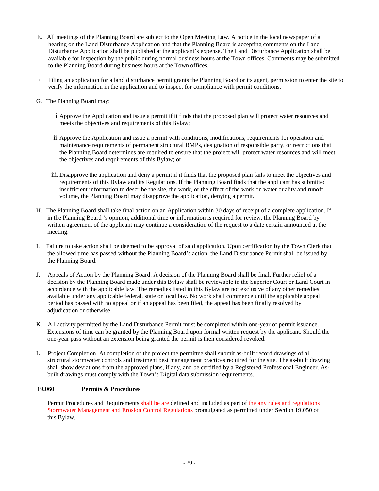- E. All meetings of the Planning Board are subject to the Open Meeting Law. A notice in the local newspaper of a hearing on the Land Disturbance Application and that the Planning Board is accepting comments on the Land Disturbance Application shall be published at the applicant's expense. The Land Disturbance Application shall be available for inspection by the public during normal business hours at the Town offices. Comments may be submitted to the Planning Board during business hours at the Town offices.
- F. Filing an application for a land disturbance permit grants the Planning Board or its agent, permission to enter the site to verify the information in the application and to inspect for compliance with permit conditions.
- G. The Planning Board may:
	- i.Approve the Application and issue a permit if it finds that the proposed plan will protect water resources and meets the objectives and requirements of this Bylaw;
	- ii.Approve the Application and issue a permit with conditions, modifications, requirements for operation and maintenance requirements of permanent structural BMPs, designation of responsible party, or restrictions that the Planning Board determines are required to ensure that the project will protect water resources and will meet the objectives and requirements of this Bylaw; or
	- iii. Disapprove the application and deny a permit if it finds that the proposed plan fails to meet the objectives and requirements of this Bylaw and its Regulations. If the Planning Board finds that the applicant has submitted insufficient information to describe the site, the work, or the effect of the work on water quality and runoff volume, the Planning Board may disapprove the application, denying a permit.
- H. The Planning Board shall take final action on an Application within 30 days of receipt of a complete application. If in the Planning Board 's opinion, additional time or information is required for review, the Planning Board by written agreement of the applicant may continue a consideration of the request to a date certain announced at the meeting.
- I. Failure to take action shall be deemed to be approval of said application. Upon certification by the Town Clerk that the allowed time has passed without the Planning Board's action, the Land Disturbance Permit shall be issued by the Planning Board.
- J. Appeals of Action by the Planning Board. A decision of the Planning Board shall be final. Further relief of a decision by the Planning Board made under this Bylaw shall be reviewable in the Superior Court or Land Court in accordance with the applicable law. The remedies listed in this Bylaw are not exclusive of any other remedies available under any applicable federal, state or local law. No work shall commence until the applicable appeal period has passed with no appeal or if an appeal has been filed, the appeal has been finally resolved by adjudication or otherwise.
- K. All activity permitted by the Land Disturbance Permit must be completed within one-year of permit issuance. Extensions of time can be granted by the Planning Board upon formal written request by the applicant. Should the one-year pass without an extension being granted the permit is then considered revoked.
- L. Project Completion. At completion of the project the permittee shall submit as-built record drawings of all structural stormwater controls and treatment best management practices required for the site. The as-built drawing shall show deviations from the approved plans, if any, and be certified by a Registered Professional Engineer. Asbuilt drawings must comply with the Town's Digital data submission requirements.

# **19.060 Permits & Procedures**

Permit Procedures and Requirements shall be are defined and included as part of the any rules and regulations Stormwater Management and Erosion Control Regulations promulgated as permitted under Section 19.050 of this Bylaw.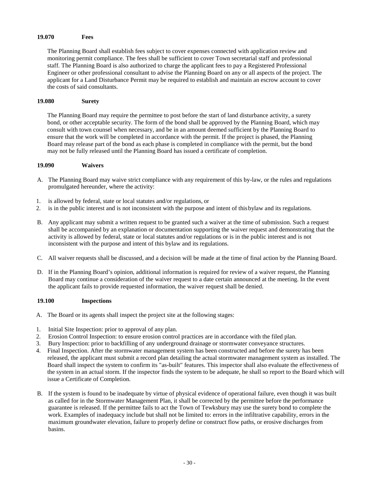#### **19.070 Fees**

The Planning Board shall establish fees subject to cover expenses connected with application review and monitoring permit compliance. The fees shall be sufficient to cover Town secretarial staff and professional staff. The Planning Board is also authorized to charge the applicant fees to pay a Registered Professional Engineer or other professional consultant to advise the Planning Board on any or all aspects of the project. The applicant for a Land Disturbance Permit may be required to establish and maintain an escrow account to cover the costs of said consultants.

#### **19.080 Surety**

The Planning Board may require the permittee to post before the start of land disturbance activity, a surety bond, or other acceptable security. The form of the bond shall be approved by the Planning Board, which may consult with town counsel when necessary, and be in an amount deemed sufficient by the Planning Board to ensure that the work will be completed in accordance with the permit. If the project is phased, the Planning Board may release part of the bond as each phase is completed in compliance with the permit, but the bond may not be fully released until the Planning Board has issued a certificate of completion.

#### **19.090 Waivers**

- A. The Planning Board may waive strict compliance with any requirement of this by-law, or the rules and regulations promulgated hereunder, where the activity:
- 1. is allowed by federal, state or local statutes and/or regulations, or
- 2. is in the public interest and is not inconsistent with the purpose and intent of thisbylaw and its regulations.
- B. Any applicant may submit a written request to be granted such a waiver at the time of submission. Such a request shall be accompanied by an explanation or documentation supporting the waiver request and demonstrating that the activity is allowed by federal, state or local statutes and/or regulations or is in the public interest and is not inconsistent with the purpose and intent of this bylaw and its regulations.
- C. All waiver requests shall be discussed, and a decision will be made at the time of final action by the Planning Board.
- D. If in the Planning Board's opinion, additional information is required for review of a waiver request, the Planning Board may continue a consideration of the waiver request to a date certain announced at the meeting. In the event the applicant fails to provide requested information, the waiver request shall be denied.

#### **19.100 Inspections**

- A. The Board or its agents shall inspect the project site at the following stages:
- 1. Initial Site Inspection: prior to approval of any plan.
- 2. Erosion Control Inspection: to ensure erosion control practices are in accordance with the filed plan.
- 3. Bury Inspection: prior to backfilling of any underground drainage or stormwater conveyance structures.
- 4. Final Inspection. After the stormwater management system has been constructed and before the surety has been released, the applicant must submit a record plan detailing the actual stormwater management system as installed. The Board shall inspect the system to confirm its "as-built" features. This inspector shall also evaluate the effectiveness of the system in an actual storm. If the inspector finds the system to be adequate, he shall so report to the Board which will issue a Certificate of Completion.
- B. If the system is found to be inadequate by virtue of physical evidence of operational failure, even though it was built as called for in the Stormwater Management Plan, it shall be corrected by the permittee before the performance guarantee is released. If the permittee fails to act the Town of Tewksbury may use the surety bond to complete the work. Examples of inadequacy include but shall not be limited to: errors in the infiltrative capability, errors in the maximum groundwater elevation, failure to properly define or construct flow paths, or erosive discharges from basins.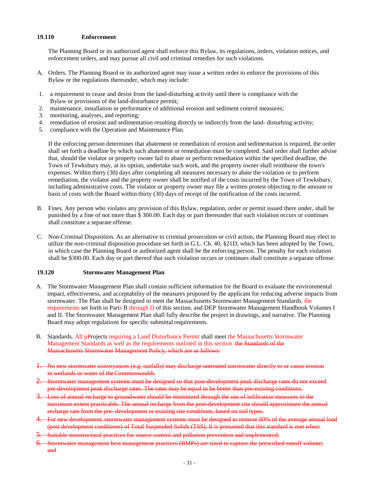#### **19.110 Enforcement**

The Planning Board or its authorized agent shall enforce this Bylaw, its regulations, orders, violation notices, and enforcement orders, and may pursue all civil and criminal remedies for such violations.

- A. Orders. The Planning Board or its authorized agent may issue a written order to enforce the provisions of this Bylaw or the regulations thereunder, which may include:
- 1. a requirement to cease and desist from the land-disturbing activity until there is compliance with the Bylaw or provisions of the land-disturbance permit;
- 2. maintenance, installation or performance of additional erosion and sediment control measures;
- 3. monitoring, analyses, and reporting;
- 4. remediation of erosion and sedimentation resulting directly or indirectly from the land- disturbing activity;<br>5. compliance with the Operation and Maintenance Plan.
- 5. compliance with the Operation and Maintenance Plan.

If the enforcing person determines that abatement or remediation of erosion and sedimentation is required, the order shall set forth a deadline by which such abatement or remediation must be completed. Said order shall further advise that, should the violator or property owner fail to abate or perform remediation within the specified deadline, the Town of Tewksbury may, at its option, undertake such work, and the property owner shall reimburse the town's expenses. Within thirty (30) days after completing all measures necessary to abate the violation or to perform remediation, the violator and the property owner shall be notified of the costs incurred by the Town of Tewksbury, including administrative costs. The violator or property owner may file a written protest objecting to the amount or basis of costs with the Board within thirty (30) days of receipt of the notification of the costs incurred.

- B. Fines. Any person who violates any provision of this Bylaw, regulation, order or permit issued there under, shall be punished by a fine of not more than \$ 300.00. Each day or part thereunder that such violation occurs or continues shall constitute a separate offense.
- C. Non-Criminal Disposition. As an alternative to criminal prosecution or civil action, the Planning Board may elect to utilize the non-criminal disposition procedure set forth in G.L. Ch. 40, §21D, which has been adopted by the Town, in which case the Planning Board or authorized agent shall be the enforcing person. The penalty for each violation shall be \$300.00. Each day or part thereof that such violation occurs or continues shall constitute a separate offense.

#### **19.120 Stormwater Management Plan**

- A. The Stormwater Management Plan shall contain sufficient information for the Board to evaluate the environmental impact, effectiveness, and acceptability of the measures proposed by the applicant for reducing adverse impacts from stormwater. The Plan shall be designed to meet the Massachusetts Stormwater Management Standards, the requirements set forth in Parts B through D of this section, and DEP Stormwater Management Handbook Volumes I and II. The Stormwater Management Plan shall fully describe the project in drawings, and narrative. The Planning Board may adopt regulations for specific submittal requirements.
- B. Standards. All pProjects requiring a Land Disturbance Permit shall meet the Massachusetts Stormwater Management Standards as well as the requirements outlined in this section. the Standards of the Massachusetts Stormwater Management Policy, which are as follows:
- 1. No new stormwater conveyances (e.g. outfalls) may discharge untreated stormwater directly to or cause erosion in wetlands or water of the Commonwealth.
- -Stormwater management systems must be designed so that post-development peak discharge rates do not exceed pre-development peak discharge rates. The rates may be equal to be better than pre-existing conditions.
- 3. Loss of annual recharge to groundwater should be minimized through the use of infiltration measures to the maximum extent practicable. The annual recharge from the post-development site should approximate the annual recharge rate from the pre-development or existing site conditions, based on soil types.
- 4. For new development, stormwater management systems must be designed to remove 80% of the average annual load (post development conditions) of Total Suspended Solids (TSS). It is presumed that this standard is met when:
- -Suitable nonstructural practices for source control and pollution prevention and implemented;
- Stormwater management best management practices (BMPs) are sized to capture the prescribed runoff volume; and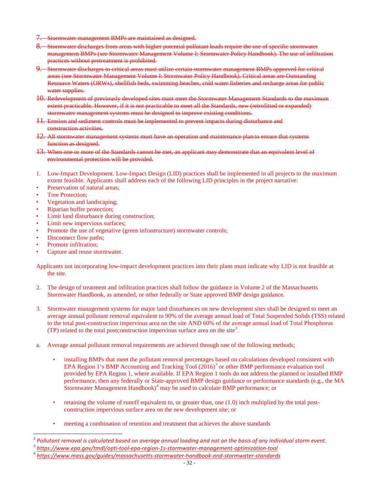- 7. Stormwater management BMPs are maintained as designed.
- 8. Stormwater discharges from areas with higher potential pollutant loads require the use of specific stormwater management BMPs (see Stormwater Management Volume I: Stormwater Policy Handbook). The use of infiltration practices without pretreatment is prohibited.
- 9. Stormwater discharges to critical areas must utilize certain stormwater management BMPs approved for critical areas (see Stormwater Management Volume I: Stormwater Policy Handbook). Critical areas are Outstanding Resource Waters (ORWs), shellfish beds, swimming beaches, cold water fisheries and recharge areas for public water supplies.
- 10. Redevelopment of previously developed sites must meet the Stormwater Management Standards to the maximum extent practicable. However, if it is not practicable to meet all the Standards, new (retrofitted or expanded) stormwater management systems must be designed to improve existing conditions.
- 11. Erosion and sediment controls must be implemented to prevent impacts during disturbance and construction activities.
- 12. All stormwater management systems must have an operation and maintenance plan to ensure that systems function as designed.
- 13. When one or more of the Standards cannot be met, an applicant may demonstrate that an equivalent level of environmental protection will be provided.
- 1. Low-Impact Development. Low-Impact Design (LID) practices shall be implemented in all projects to the maximum extent feasible. Applicants shall address each of the following LID principles in the project narrative:
- Preservation of natural areas;
- Tree Protection;
- Vegetation and landscaping;
- Riparian buffer protection;
- Limit land disturbance during construction;
- Limit new impervious surfaces;
- Promote the use of vegetative (green infrastructure) stormwater controls;
- Disconnect flow paths;
- Promote infiltration;
- Capture and reuse stormwater.

Applicants not incorporating low-impact development practices into their plans must indicate why LID is not feasible at the site.

- 2. The design of treatment and infiltration practices shall follow the guidance in Volume 2 of the Massachusetts Stormwater Handbook, as amended, or other federally or State approved BMP design guidance.
- 3. Stormwater management systems for major land disturbances on new development sites shall be designed to meet an average annual pollutant removal equivalent to 90% of the average annual load of Total Suspended Solids (TSS) related to the total post-construction impervious area on the site AND 60% of the average annual load of Total Phosphorus (TP) related to the total postconstruction impervious surface area on the site<sup>[2](#page-31-0)</sup>.
- a. Average annual pollutant removal requirements are achieved through one of the following methods;
	- installing BMPs that meet the pollutant removal percentages based on calculations developed consistent with EPA Region 1's BMP Accounting and Tracking Tool  $(2016)^3$  $(2016)^3$  or other BMP performance evaluation tool provided by EPA Region 1, where available. If EPA Region 1 tools do not address the planned or installed BMP performance, then any federally or State-approved BMP design guidance or performance standards (e.g., the MA Stormwater Management Handbook)<sup>[4](#page-31-2)</sup> may be used to calculate BMP performance; or
	- retaining the volume of runoff equivalent to, or greater than, one (1.0) inch multiplied by the total postconstruction impervious surface area on the new development site; or
	- meeting a combination of retention and treatment that achieves the above standards

<span id="page-31-1"></span><span id="page-31-0"></span><sup>2</sup> *Pollutant removal is calculated based on average annual loading and not on the basis of any individual storm event. <sup>3</sup> <https://www.epa.gov/tmdl/opti-tool-epa-region-1s-stormwater-management-optimization-tool>*

<span id="page-31-2"></span><sup>4</sup> *<https://www.mass.gov/guides/massachusetts-stormwater-handbook-and-stormwater-standards>*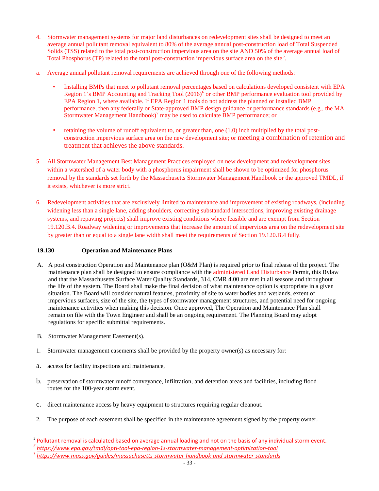- 4. Stormwater management systems for major land disturbances on redevelopment sites shall be designed to meet an average annual pollutant removal equivalent to 80% of the average annual post-construction load of Total Suspended Solids (TSS) related to the total post-construction impervious area on the site AND 50% of the average annual load of Total Phosphorus (TP) related to the total post-construction impervious surface area on the site<sup>[5](#page-32-0)</sup>.
- a. Average annual pollutant removal requirements are achieved through one of the following methods:
	- Installing BMPs that meet to pollutant removal percentages based on calculations developed consistent with EPA Region 1's BMP Accounting and Tracking Tool  $(2016)^6$  $(2016)^6$  $(2016)^6$  or other BMP performance evaluation tool provided by EPA Region 1, where available. If EPA Region 1 tools do not address the planned or installed BMP performance, then any federally or State-approved BMP design guidance or performance standards (e.g., the MA Stormwater Management Handbook)<sup>[7](#page-32-2)</sup> may be used to calculate BMP performance; or
	- retaining the volume of runoff equivalent to, or greater than, one (1.0) inch multiplied by the total postconstruction impervious surface area on the new development site; or meeting a combination of retention and treatment that achieves the above standards.
- 5. All Stormwater Management Best Management Practices employed on new development and redevelopment sites within a watershed of a water body with a phosphorus impairment shall be shown to be optimized for phosphorus removal by the standards set forth by the Massachusetts Stormwater Management Handbook or the approved TMDL, if it exists, whichever is more strict.
- 6. Redevelopment activities that are exclusively limited to maintenance and improvement of existing roadways, (including widening less than a single lane, adding shoulders, correcting substandard intersections, improving existing drainage systems, and repaving projects) shall improve existing conditions where feasible and are exempt from Section 19.120.B.4. Roadway widening or improvements that increase the amount of impervious area on the redevelopment site by greater than or equal to a single lane width shall meet the requirements of Section 19.120.B.4 fully.

# **19.130 Operation and Maintenance Plans**

- A. A post construction Operation and Maintenance plan (O&M Plan) is required prior to final release of the project. The maintenance plan shall be designed to ensure compliance with the administered Land Disturbance Permit, this Bylaw and that the Massachusetts Surface Water Quality Standards, 314, CMR 4.00 are met in all seasons and throughout the life of the system. The Board shall make the final decision of what maintenance option is appropriate in a given situation. The Board will consider natural features, proximity of site to water bodies and wetlands, extent of impervious surfaces, size of the site, the types of stormwater management structures, and potential need for ongoing maintenance activities when making this decision. Once approved, The Operation and Maintenance Plan shall remain on file with the Town Engineer and shall be an ongoing requirement. The Planning Board may adopt regulations for specific submittal requirements.
- B. Stormwater Management Easement(s).
- 1. Stormwater management easements shall be provided by the property owner(s) as necessary for:
- a. access for facility inspections and maintenance,
- b. preservation of stormwater runoff conveyance, infiltration, and detention areas and facilities, including flood routes for the 100-year storm event.
- c. direct maintenance access by heavy equipment to structures requiring regular cleanout.
- 2. The purpose of each easement shall be specified in the maintenance agreement signed by the property owner.

<span id="page-32-0"></span><sup>&</sup>lt;sup>5</sup> Pollutant removal is calculated based on average annual loading and not on the basis of any individual storm event.

<span id="page-32-1"></span>*<sup>6</sup> <https://www.epa.gov/tmdl/opti-tool-epa-region-1s-stormwater-management-optimization-tool>*

<span id="page-32-2"></span><sup>7</sup> *<https://www.mass.gov/guides/massachusetts-stormwater-handbook-and-stormwater-standards>*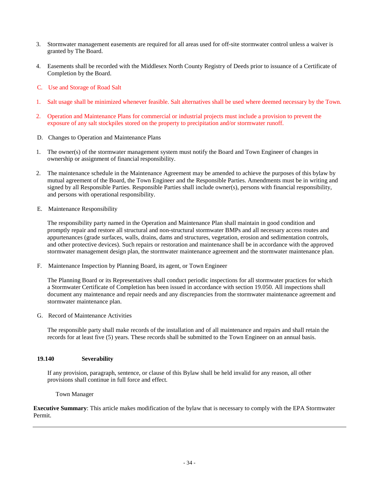- 3. Stormwater management easements are required for all areas used for off-site stormwater control unless a waiver is granted by The Board.
- 4. Easements shall be recorded with the Middlesex North County Registry of Deeds prior to issuance of a Certificate of Completion by the Board.
- C. Use and Storage of Road Salt
- 1. Salt usage shall be minimized whenever feasible. Salt alternatives shall be used where deemed necessary by the Town.
- 2. Operation and Maintenance Plans for commercial or industrial projects must include a provision to prevent the exposure of any salt stockpiles stored on the property to precipitation and/or stormwater runoff.
- D. Changes to Operation and Maintenance Plans
- 1. The owner(s) of the stormwater management system must notify the Board and Town Engineer of changes in ownership or assignment of financial responsibility.
- 2. The maintenance schedule in the Maintenance Agreement may be amended to achieve the purposes of this bylaw by mutual agreement of the Board, the Town Engineer and the Responsible Parties. Amendments must be in writing and signed by all Responsible Parties. Responsible Parties shall include owner(s), persons with financial responsibility, and persons with operational responsibility.
- E. Maintenance Responsibility

The responsibility party named in the Operation and Maintenance Plan shall maintain in good condition and promptly repair and restore all structural and non-structural stormwater BMPs and all necessary access routes and appurtenances (grade surfaces, walls, drains, dams and structures, vegetation, erosion and sedimentation controls, and other protective devices). Such repairs or restoration and maintenance shall be in accordance with the approved stormwater management design plan, the stormwater maintenance agreement and the stormwater maintenance plan.

F. Maintenance Inspection by Planning Board, its agent, or Town Engineer

The Planning Board or its Representatives shall conduct periodic inspections for all stormwater practices for which a Stormwater Certificate of Completion has been issued in accordance with section 19.050. All inspections shall document any maintenance and repair needs and any discrepancies from the stormwater maintenance agreement and stormwater maintenance plan.

G. Record of Maintenance Activities

The responsible party shall make records of the installation and of all maintenance and repairs and shall retain the records for at least five (5) years. These records shall be submitted to the Town Engineer on an annual basis.

#### **19.140 Severability**

If any provision, paragraph, sentence, or clause of this Bylaw shall be held invalid for any reason, all other provisions shall continue in full force and effect.

Town Manager

**Executive Summary**: This article makes modification of the bylaw that is necessary to comply with the EPA Stormwater Permit.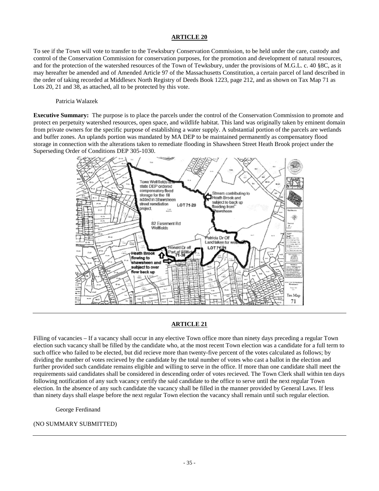To see if the Town will vote to transfer to the Tewksbury Conservation Commission, to be held under the care, custody and control of the Conservation Commission for conservation purposes, for the promotion and development of natural resources, and for the protection of the watershed resources of the Town of Tewksbury, under the provisions of M.G.L. c. 40 §8C, as it may hereafter be amended and of Amended Article 97 of the Massachusetts Constitution, a certain parcel of land described in the order of taking recorded at Middlesex North Registry of Deeds Book 1223, page 212, and as shown on Tax Map 71 as Lots 20, 21 and 38, as attached, all to be protected by this vote.

#### Patricia Walazek

**Executive Summary:** The purpose is to place the parcels under the control of the Conservation Commission to promote and protect en perpetuity watershed resources, open space, and wildlife habitat. This land was originally taken by eminent domain from private owners for the specific purpose of establishing a water supply. A substantial portion of the parcels are wetlands and buffer zones. An uplands portion was mandated by MA DEP to be maintained permanently as compensatory flood storage in connection with the alterations taken to remediate flooding in Shawsheen Street Heath Brook project under the Superseding Order of Conditions DEP 305-1030.



# **ARTICLE 21**

Filling of vacancies – If a vacancy shall occur in any elective Town office more than ninety days preceding a regular Town election such vacancy shall be filled by the candidate who, at the most recent Town election was a candidate for a full term to such office who failed to be elected, but did recieve more than twenty-five percent of the votes calculated as follows; by dividing the number of votes recieved by the candidate by the total number of votes who cast a ballot in the election and further provided such candidate remains eligible and willing to serve in the office. If more than one candidate shall meet the requirements said candidates shall be considered in descending order of votes recieved. The Town Clerk shall within ten days following notification of any such vacancy certify the said candidate to the office to serve until the next regular Town election. In the absence of any such candidate the vacancy shall be filled in the manner provided by General Laws. If less than ninety days shall elaspe before the next regular Town election the vacancy shall remain until such regular election.

George Ferdinand

#### (NO SUMMARY SUBMITTED)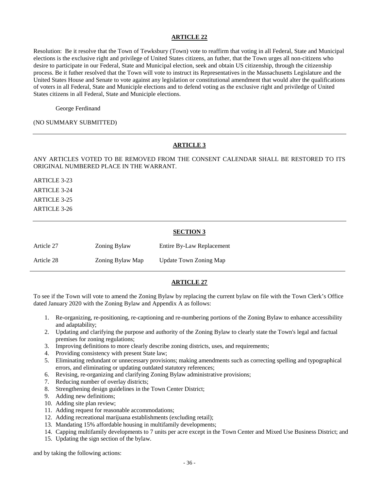Resolution: Be it resolve that the Town of Tewksbury (Town) vote to reaffirm that voting in all Federal, State and Municipal elections is the exclusive right and privilege of United States citizens, an futher, that the Town urges all non-citizens who desire to participate in our Federal, State and Municipal election, seek and obtain US citizenship, through the citizenship process. Be it futher resolved that the Town will vote to instruct its Representatives in the Massachusetts Legislature and the United States House and Senate to vote against any legislation or constitutional amendment that would alter the qualifications of voters in all Federal, State and Municiple elections and to defend voting as the exclusive right and priviledge of United States citizens in all Federal, State and Municiple elections.

George Ferdinand

#### (NO SUMMARY SUBMITTED)

# **ARTICLE 3**

ANY ARTICLES VOTED TO BE REMOVED FROM THE CONSENT CALENDAR SHALL BE RESTORED TO ITS ORIGINAL NUMBERED PLACE IN THE WARRANT.

ARTICLE 3-23 ARTICLE 3-24 ARTICLE 3-25 ARTICLE 3-26

#### **SECTION 3**

| Article 27 | <b>Zoning Bylaw</b> | Entire By-Law Replacement |
|------------|---------------------|---------------------------|
| Article 28 | Zoning Bylaw Map    | Update Town Zoning Map    |

#### **ARTICLE 27**

To see if the Town will vote to amend the Zoning Bylaw by replacing the current bylaw on file with the Town Clerk's Office dated January 2020 with the Zoning Bylaw and Appendix A as follows:

- 1. Re-organizing, re-positioning, re-captioning and re-numbering portions of the Zoning Bylaw to enhance accessibility and adaptability;
- 2. Updating and clarifying the purpose and authority of the Zoning Bylaw to clearly state the Town's legal and factual premises for zoning regulations;
- 3. Improving definitions to more clearly describe zoning districts, uses, and requirements;
- 4. Providing consistency with present State law;
- 5. Eliminating redundant or unnecessary provisions; making amendments such as correcting spelling and typographical errors, and eliminating or updating outdated statutory references;
- 6. Revising, re-organizing and clarifying Zoning Bylaw administrative provisions;
- 7. Reducing number of overlay districts;
- 8. Strengthening design guidelines in the Town Center District;
- 9. Adding new definitions;
- 10. Adding site plan review;
- 11. Adding request for reasonable accommodations;
- 12. Adding recreational marijuana establishments (excluding retail);
- 13. Mandating 15% affordable housing in multifamily developments;
- 14. Capping multifamily developments to 7 units per acre except in the Town Center and Mixed Use Business District; and
- 15. Updating the sign section of the bylaw.

and by taking the following actions: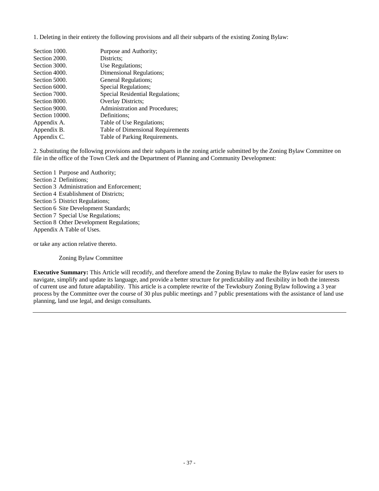1. Deleting in their entirety the following provisions and all their subparts of the existing Zoning Bylaw:

| Section 1000.  | Purpose and Authority;            |
|----------------|-----------------------------------|
| Section 2000.  | Districts:                        |
| Section 3000.  | Use Regulations;                  |
| Section 4000.  | Dimensional Regulations;          |
| Section 5000.  | General Regulations;              |
| Section 6000.  | Special Regulations;              |
| Section 7000.  | Special Residential Regulations;  |
| Section 8000.  | Overlay Districts;                |
| Section 9000.  | Administration and Procedures;    |
| Section 10000. | Definitions;                      |
| Appendix A.    | Table of Use Regulations;         |
| Appendix B.    | Table of Dimensional Requirements |
| Appendix C.    | Table of Parking Requirements.    |

2. Substituting the following provisions and their subparts in the zoning article submitted by the Zoning Bylaw Committee on file in the office of the Town Clerk and the Department of Planning and Community Development:

Section 1 Purpose and Authority; Section 2 Definitions; Section 3 Administration and Enforcement; Section 4 Establishment of Districts; Section 5 District Regulations; Section 6 Site Development Standards; Section 7 Special Use Regulations; Section 8 Other Development Regulations; Appendix A Table of Uses.

or take any action relative thereto.

Zoning Bylaw Committee

**Executive Summary:** This Article will recodify, and therefore amend the Zoning Bylaw to make the Bylaw easier for users to navigate, simplify and update its language, and provide a better structure for predictability and flexibility in both the interests of current use and future adaptability. This article is a complete rewrite of the Tewksbury Zoning Bylaw following a 3 year process by the Committee over the course of 30 plus public meetings and 7 public presentations with the assistance of land use planning, land use legal, and design consultants.